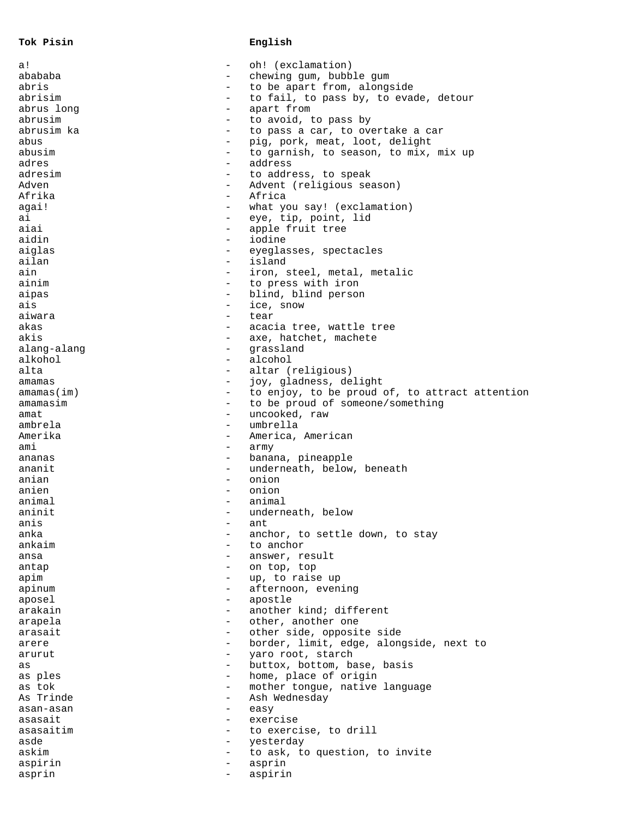**Tok Pisin English**

| a!           | $\qquad \qquad$          | oh! (exclamation)                              |
|--------------|--------------------------|------------------------------------------------|
| abababa      |                          | chewing gum, bubble gum                        |
| abris        |                          | to be apart from, alongside                    |
| abrisim      | $\qquad \qquad -$        | to fail, to pass by, to evade, detour          |
| abrus long   | $\overline{\phantom{0}}$ | apart from                                     |
| abrusim      | $\overline{\phantom{0}}$ | to avoid, to pass by                           |
| abrusim ka   | $\overline{\phantom{0}}$ | to pass a car, to overtake a car               |
| abus         | $\qquad \qquad -$        | pig, pork, meat, loot, delight                 |
| abusim       | $\qquad \qquad -$        | to garnish, to season, to mix, mix up          |
| adres        | $\qquad \qquad -$        | address                                        |
| adresim      | -                        | to address, to speak                           |
| Adven        | $\qquad \qquad -$        | Advent (religious season)                      |
| Afrika       | $\qquad \qquad -$        | Africa                                         |
| agai!        |                          | what you say! (exclamation)                    |
| ai           | $\overline{\phantom{0}}$ | eye, tip, point, lid                           |
| aiai         | $\overline{\phantom{0}}$ | apple fruit tree                               |
| aidin        | $\qquad \qquad -$        | iodine                                         |
| aiglas       | $\overline{\phantom{0}}$ |                                                |
| ailan        | $\overline{\phantom{0}}$ | eyeglasses, spectacles<br>island               |
|              | $\overline{\phantom{0}}$ |                                                |
| ain          |                          | iron, steel, metal, metalic                    |
| ainim        | $\qquad \qquad -$        | to press with iron                             |
| aipas        | $\qquad \qquad -$        | blind, blind person                            |
| ais          | $\overline{\phantom{0}}$ | ice, snow                                      |
| aiwara       | $\overline{\phantom{0}}$ | tear                                           |
| akas         | $\qquad \qquad -$        | acacia tree, wattle tree                       |
| akis         | $\qquad \qquad -$        | axe, hatchet, machete                          |
| alang-alang  | -                        | grassland                                      |
| alkohol      | -                        | alcohol                                        |
| alta         | $\qquad \qquad -$        | altar (religious)                              |
| amamas       | $\qquad \qquad -$        | joy, gladness, delight                         |
| amamas(intm) | $\overline{\phantom{0}}$ | to enjoy, to be proud of, to attract attention |
| amamasim     | $\overline{\phantom{0}}$ | to be proud of someone/something               |
| amat         | $\overline{\phantom{0}}$ | uncooked, raw                                  |
| ambrela      | $\qquad \qquad -$        | umbrella                                       |
| Amerika      | $\qquad \qquad -$        | America, American                              |
| ami          | -                        | army                                           |
| ananas       | $\qquad \qquad -$        | banana, pineapple                              |
| ananit       | $\qquad \qquad -$        | underneath, below, beneath                     |
| anian        | $\overline{\phantom{0}}$ | onion                                          |
| anien        | $\qquad \qquad -$        | onion                                          |
| animal       | $\overline{\phantom{0}}$ | animal                                         |
| aninit       | $-$                      | underneath, below                              |
| anis         |                          | ant                                            |
| anka         |                          | anchor, to settle down, to stay                |
| ankaim       |                          |                                                |
|              |                          | to anchor                                      |
| ansa         |                          | answer, result                                 |
| antap        | —                        | on top, top                                    |
| apim         |                          | up, to raise up                                |
| apinum       |                          | afternoon, evening                             |
| aposel       | -                        | apostle                                        |
| arakain      | -                        | another kind; different                        |
| arapela      | -                        | other, another one                             |
| arasait      |                          | other side, opposite side                      |
| arere        | $\qquad \qquad -$        | border, limit, edge, alongside, next to        |
| arurut       | -                        | yaro root, starch                              |
| as           |                          | buttox, bottom, base, basis                    |
| as ples      |                          | home, place of origin                          |
| as tok       | -                        | mother tongue, native language                 |
| As Trinde    |                          | Ash Wednesday                                  |
| asan-asan    |                          | easy                                           |
| asasait      |                          | exercise                                       |
| asasaitim    | $\overline{\phantom{0}}$ | to exercise, to drill                          |
| asde         | $\qquad \qquad -$        | yesterday                                      |
| askim        | -                        | to ask, to question, to invite                 |
| aspirin      | —                        | asprin                                         |
| asprin       | $\overline{\phantom{0}}$ | aspirin                                        |
|              |                          |                                                |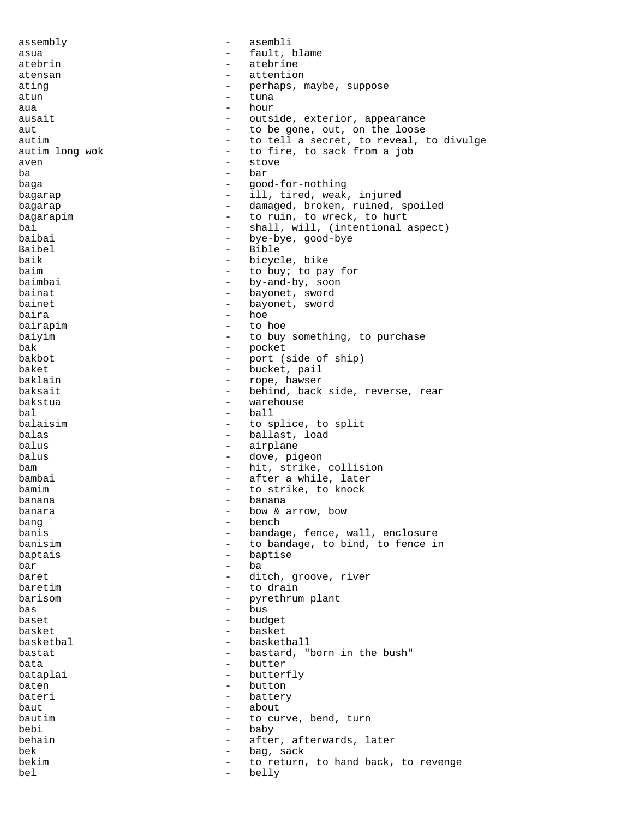assembly - asembli asua - fault, blame atebrin - atebrine atensan - attention ating  $-$  perhaps, maybe, suppose atun - tuna aua  $\begin{array}{ccc} - & \text{hour} \\ \text{burst} & - & \text{olute} \end{array}$ ausait - outside, exterior, appearance aut  $-$  to be gone, out, on the loose autim  $-$  to tell a secret, to reveal, to divulge autim long wok - to fire, to sack from a job aven - stove ba - bar baga - good-for-nothing bagarap  $-$  ill, tired, weak, injured bagarap  $-$  damaged, broken, ruined, spoiled bagarapim  $-$  to ruin, to wreck, to hurt bai - shall, will, (intentional aspect)<br>baibai - shall, will, (intentional aspect) baibai - bye-bye, good-bye<br>Baibel - Bible - Bible Baibel - Bible baik - bicycle, bike<br>haim - to buy: to pay baim  $\begin{array}{cccc} \text{baim} \\ \text{baim} \\ \text{baim} \\ \text{bum} \end{array}$  - to buy; to pay for - by-and-by, soon bainat  $-$  bayonet, sword bainet bayonet, sword baira - hoe bairapim - to hoe baiyim  $-$  to buy something, to purchase bak - pocket - port (side of ship) baket - bucket, pail<br>baklain - bucket, pail<br>- rope, hawser - rope, hawser baksait - behind, back side, reverse, rear<br>bakstua - - - - - - - warehouse warehouse bal - ball balaisim  $-$  to splice, to split balas - ballast, load balus - airplane balus - dove, pigeon bam - hit, strike, collision bambai  $-$  after a while, later bamim  $-$  to strike, to knock  $\begin{array}{ccc}\n\text{banana} & & & & \\
\text{banana} & & & & \\
\text{banara} & & & & \\
\end{array}$ banara  $-$  bow & arrow, bow bang - bench banis  $\begin{array}{ccc} \hbox{banis} & \hbox{nonline} \\ \hbox{banisim} & \hbox{nonline} \\ \hbox{nonline} & \hbox{nonline} \\ \hbox{nonline} & \hbox{nonline} \\ \hbox{nonline} & \hbox{nonline} \\ \hbox{nonline} & \hbox{nonline} \\ \hbox{nonline} & \hbox{nonline} \\ \hbox{nonline} & \hbox{nonline} \\ \hbox{nonline} & \hbox{nonline} \\ \hbox{nonline} & \hbox{nonline} \\ \hbox{nonline} & \hbox{nonline} \\ \hbox{nonline} & \hbox{nonline} \\ \hbox{nonline} & \hbox{nonline}$ - to bandage, to bind, to fence in baptais - baptise  $bar$  -  $ba$ baret  $\qquad \qquad -$  ditch, groove, river baretim  $-$  to drain barisom - pyrethrum plant<br>bas - bus bas - bus baset - budget basket - basket<br>haskethal - baskethal basketbal - basketball bastat  $-$  bastard, "born in the bush" bata  $-$  butter bataplai - butterfly baten - button bateri - battery baut - about bautim  $-$  to curve, bend, turn bebi - baby behain  $-$  after, afterwards, later bek - bag, sack bekim - to return, to hand back, to revenge bel - belly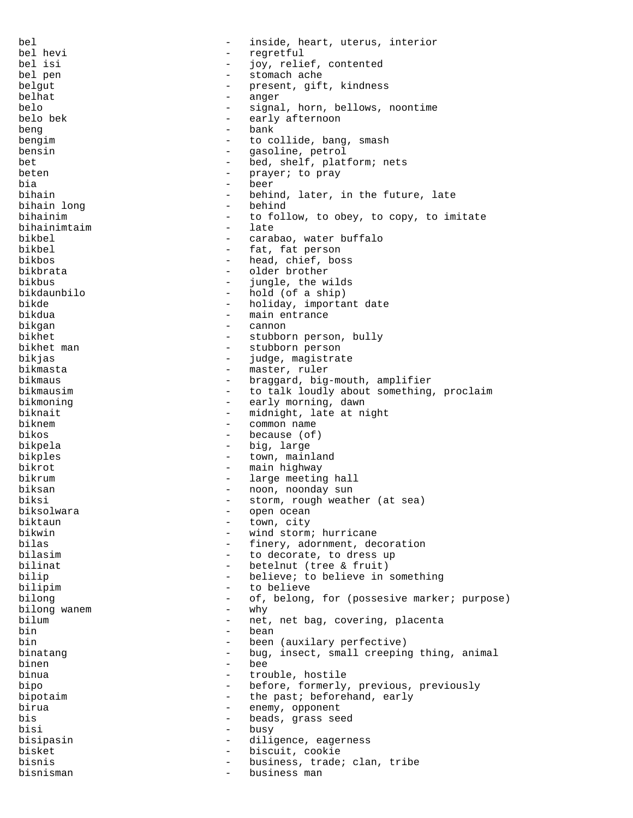bel - inside, heart, uterus, interior bel hevi - regretful bel isi  $-$  joy, relief, contented bel pen bel pen - stomach ache present, gift, kindness belhat - anger belo - signal, horn, bellows, noontime<br>belo bek - early afternoon early afternoon beng bank - bank bengim - to collide, bang, smash<br>hensin<br>- casoline petrol bensin - gasoline, petrol bet - bed, shelf, platform; nets beten - prayer; to pray bia - beer bihain  $-$  behind, later, in the future, late bihain long - behind bihainim - to follow, to obey, to copy, to imitate bihainimtaim - late bikbel - carabao, water buffalo bikbel  $-$  fat, fat person<br>hikbos  $-$  head chief boy bikbos - head, chief, boss - older brother<br>- jungle the w bikbus - jungle, the wilds bikdaunbilo - hold (of a ship) bikde  $-$  holiday, important date bikdua - main entrance bikgan - cannon bikhet - stubborn person, bully bikhet man - stubborn person<br>bikias - stubborn person bikjas - judge, magistrate bikmasta - master, ruler bikmaus - braggard, big-mouth, amplifier<br>bikmausim - to talk loudly about something - to talk loudly about something, proclaim bikmoning  $-$  early morning, dawn biknait - midnight, late at night<br>hiknem - common name biknem  $-$  common name bikos - because (of) - big, large bikples - town, mainland bikrot  $-$  main highway bikrum  $-$  large meeting hall biksan  $\qquad \qquad -$  noon, noonday sun biksi - storm, rough weather (at sea)<br>hiksolwara - onen ocean biksolwara - open ocean - biksolwara - open ocean - open ocean - open ocean - open ocean - open ocean - open ocean - open ocean - open ocean - open ocean - open ocean - open ocean - open ocean - open ocean - open ocean - o biktaun - town, city bikwin - wind storm; hurricane<br>hilas - finery adornment de - finery, adornment, decoration bilasim  $-$  to decorate, to dress up bilinat  $-$  betelnut (tree & fruit) bilip  $-$  believe; to believe in something bilipim - to believe bilong - of, belong, for (possesive marker; purpose) bilong wanem  $-$  why bilum - net, net bag, covering, placenta bin - bean bin - been (auxilary perfective) binatang  $-$  bug, insect, small creeping thing, animal<br>hinen binen - bee binua  $-$  trouble, hostile bipo - before, formerly, previous, previously bipotaim  $\begin{array}{cccc} - & \text{the past; beforehand, early} \\ - & \text{enemy component} \end{array}$ birua - enemy, opponent<br>his - heads grass se bis - beads, grass seed bisi - busy bisipasin - diligence, eagerness<br>bisket - hiscuit cookie bisket - biscuit, cookie bisnis  $-$  business, trade; clan, tribe bisnisman - business man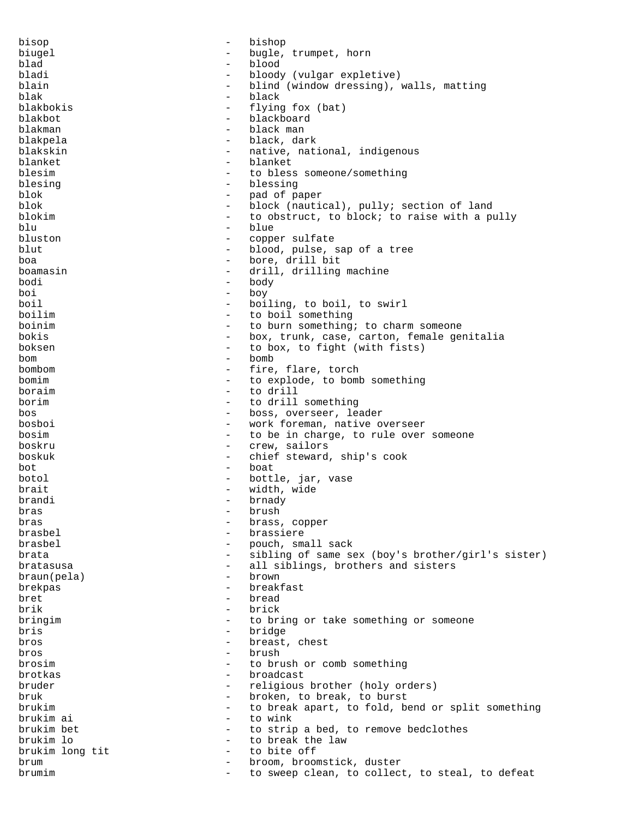bisop - bishop biugel - bugle, trumpet, horn blad - blood bloody (vulgar expletive) blain  $-$  blind (window dressing), walls, matting blak - black - black - black - black - black - black - black - black - black - black - black - black - black blakbokis - flying fox (bat) blakbot - blackboard blakman - black man - black, dark blakskin - native, national, indigenous blanket - blanket blesim - to bless someone/something blesing - blessing - blessing blok - pad of paper blok - block (nautical), pully; section of land blokim  $-$  to obstruct, to block; to raise with a pully blu - blue - blue - blue - blue - blue - blue - blue - conne bluston - copper sulfate blut - blood, pulse, sap of a tree boa - bore, drill bit boamasin - drill, drilling machine bodi - body boi - boy boil - boiling, to boil, to swirl boilim  $\overline{a}$  - to boil something<br>hoinim - to burn something boinim  $\qquad \qquad -$  to burn something; to charm someone bokis - box, trunk, case, carton, female genitalia boksen - to box, to fight (with fists) bom - bomb bombom  $\overline{a}$  - fire, flare, torch homim  $\overline{a}$  - to explode to homin bomim  $\begin{array}{cccc} - & \text{to explode, to bomb something} \\ - & \text{to drill} \end{array}$ boraim - to drill<br>borim - to drill<br>borim - to drill borim  $-$  to drill something bos - boss, overseer, leader bosboi - work foreman, native overseer bosim  $-$  to be in charge, to rule over someone boskru - crew, sailors boskuk - chief steward, ship's cook bot - boat botol  $-$  bottle, jar, vase brait  $-$  width, wide brandi - brnady<br>bras - brush - brush bras - brush bras - brass, copper brasbel - brassiere brasbel  $-$  pouch, small sack brata  $-$  sibling of same sex (boy's brother/girl's sister) bratasusa - all siblings, brothers and sisters<br>braun(pela) - brown  $braun(pela)$ brekpas - breakfast bret - bread brik - brick bringim  $-$  to bring or take something or someone bris - bridge bros - breast, chest  $bros$  -  $bros$  -  $bros$  -  $bros$ brosim - to brush or comb something brotkas - broadcast bruder - religious brother (holy orders) bruk - broken, to break, to burst brukim  $-$  to break apart, to fold, bend or split something<br>brukim ai  $-$  to wink brukim ai - to wink brukim bet - to strip a bed, to remove bedclothes<br>brukim lo<br>- to break the law - to break the law brukim long tit  $-$  to bite off brum - broom, broomstick, duster brumim  $-$  to sweep clean, to collect, to steal, to defeat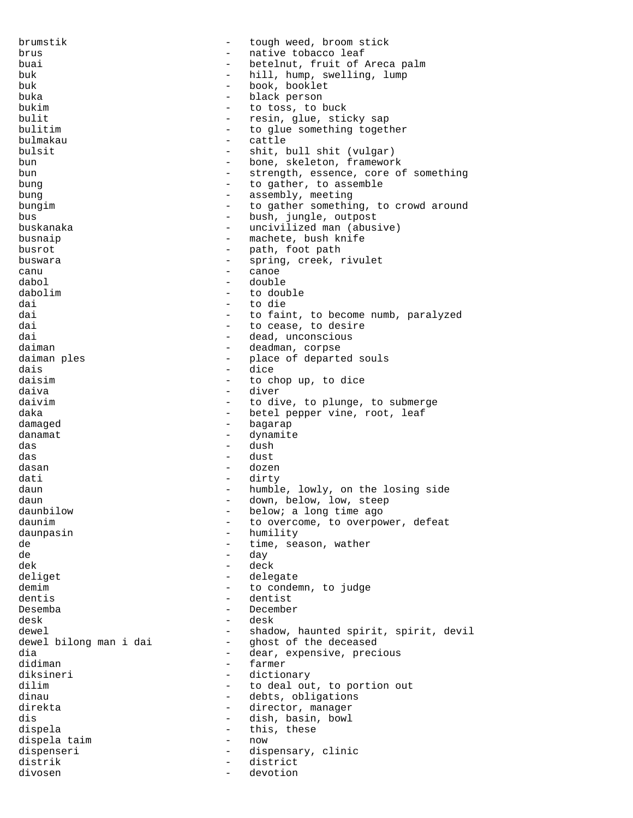brumstik - tough weed, broom stick brus  $-$  native tobacco leaf buai  $-$  betelnut, fruit of Areca palm buk - hill, hump, swelling, lump buk - book, booklet buka - black person bukim  $\begin{array}{cccc} - & + & + - & + - \\ - & - & - & + - \\ - & - & - & - \end{array}$  bulit bulit - resin, glue, sticky sap<br>bulitim - resin, glue, sticky sap - to glue something together bulmakau - cattle bulsit - shit, bull shit (vulgar) bun - bone, skeleton, framework bun - strength, essence, core of something bung  $-$  to gather, to assemble bung - assembly, meeting bungim - to gather something, to crowd around bus - bush, jungle, outpost buskanaka - uncivilized man (abusive) busnaip  $-$  machete, bush knife busrot - path, foot path buswara  $-$  spring, creek, rivulet canu - canoe dabol - double dabolim - to double dai - to die - to faint, to become numb, paralyzed dai  $\qquad \qquad -$  to cease, to desire dai  $-$  dead, unconscious daiman daiman - deadman, corpse daiman ples - place of departed souls<br>dais<br>- dice dais - dice daisim - to chop up, to dice daiva - diver - to dive, to plunge, to submerge daka  $-$  betel pepper vine, root, leaf damaged - bagarap danamat - dynamite das - dush das - dust dasan - dozen dati - dirty daun - humble, lowly, on the losing side daun - down, below, low, steep daunbilow - below; a long time ago daunim daunim - to overcome, to overpower, defeat daunpasin - humility de  $-$  time, season, wather de - day dek - deck deliget - delegate demim demim - to condemn, to judge dentis - dentist Desemba - December desk - desk - desk - desk - desk - desk - desk - desk - desk - desk - desk - desk - desk - desk - desk - desk - desk - desk - desk - desk - desk - desk - desk - desk - desk - desk - desk - desk - desk desk - desk dewel dewel in the shadow, haunted spirit, spirit, devil dewel bilong man i dai  $-$  ghost of the deceased dewel bilong man i dai - ghost of the deceased<br>dia - dear, expensive, prec. dia - dear, expensive, precious<br>didiman - dear, expensive, precious didiman - farmer diksineri - dictionary - dictionary<br>dilim - to deal out - to deal out, to portion out dinau - debts, obligations direkta - director, manager dis - dish, basin, bowl dispela  $-$  this, these dispela taim and the mow contained to the moving of the moving of the moving of the moving of the moving of the<br>
dispenseri dispenseri - dispensary, clinic<br>distrik - district distrik - district divosen - devotion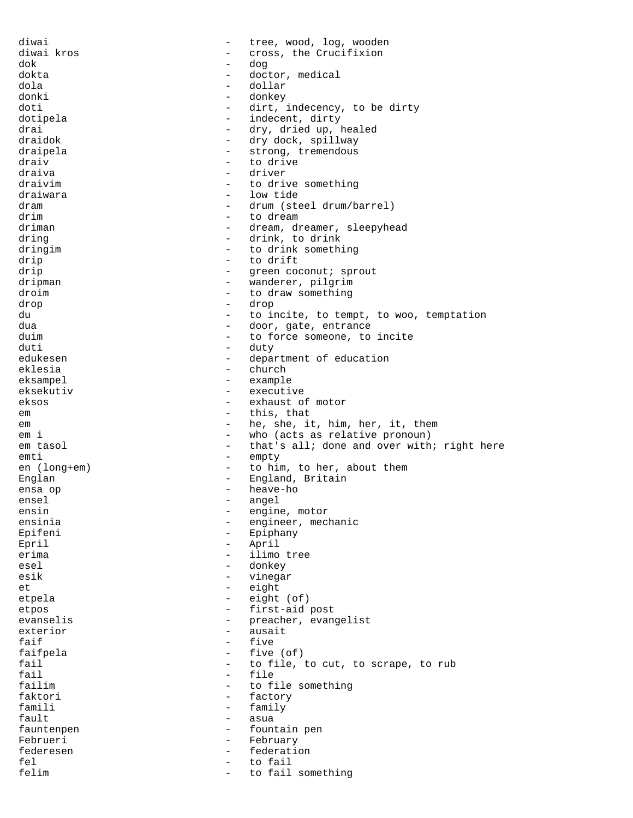diwai  $-$  tree, wood, log, wooden diwai kros - cross, the Crucifixion dok - dog dokta - doctor, medical dola - dollar donki - donkey<br>doti - dirt doti  $-\text{ dirt}, \text{ indecency}, \text{ to be dirty}$ dotipela  $-$  indecent, dirty drai  $-$  dry, dried up, healed draidok - dry dock, spillway draipela - strong, tremendous draiv - to drive<br>draive - driver - driver draiva - driver draivim  $-$  to drive something draiwara  $\qquad \qquad -$  low tide dram  $-$  drum (steel drum/barrel) drim - to dream driman - dream, dreamer, sleepyhead<br>dring - drink to drink dring  $\frac{1}{2}$  drink, to drink<br>dringim  $\frac{1}{2}$  to drink somethic dringim  $-$  to drink something drip - to drift<br>drip - to drift<br>- qreen coo - green coconut; sprout<br>- wanderer pilorim dripman - wanderer, pilgrim droim - to draw something<br>  $\frac{1}{2}$  drop drop - drop du - to incite, to tempt, to woo, temptation dua dua - door, gate, entrance duim  $\qquad \qquad -$  to force someone, to incite duti - duty edukesen - department of education eklesia - church - church<br>eksampel - example eksampel – example<br>eksekutiv eksekutiv - executive<br>ekses - executive eksos - exhaust of motor em  $-$  this, that em  $-$  he, she, it, him, her, it, them<br>
em i - who (acts as relative pronoun) em tasol - that's all; done and over with; right here emti - empty<br>
en (long+em) - to him en (long+em) - to him, to her, about them Englan - England, Britain - England, Britain - England, Britain - England, Britain - England, Britain - England, Britain - England, Britain - England, Britain - England, Britain - England, Britain - England, Britain - Engl heave-ho ensel - angel<br>ensin - engine ensin - engine, motor<br>ensinia - engineer.med ensinia  $-$  engineer, mechanic Epifeni - Epiphany Epril - April erima  $-$  ilimo tree esel - donkey<br>esik - vinega esik - vinegar et eight - eight<br>etnels - eight - eight etpela - eight (of) etpos - first-aid post evanselis - preacher, evangelist exterior - ausait faif  $-$  five faifpela - five (of) fail  $\begin{array}{cccc} - &$  to file, to cut, to scrape, to rub<br>fail  $\begin{array}{cccc} - &$  file fail  $\qquad \qquad$  - file<br>failim - to f to file something faktori - factory famili - family<br>fault - asua fault - asua fauntenpen - fountain pen Februeri - February federesen - federation fel  $-$  to fail felim  $-$  to fail something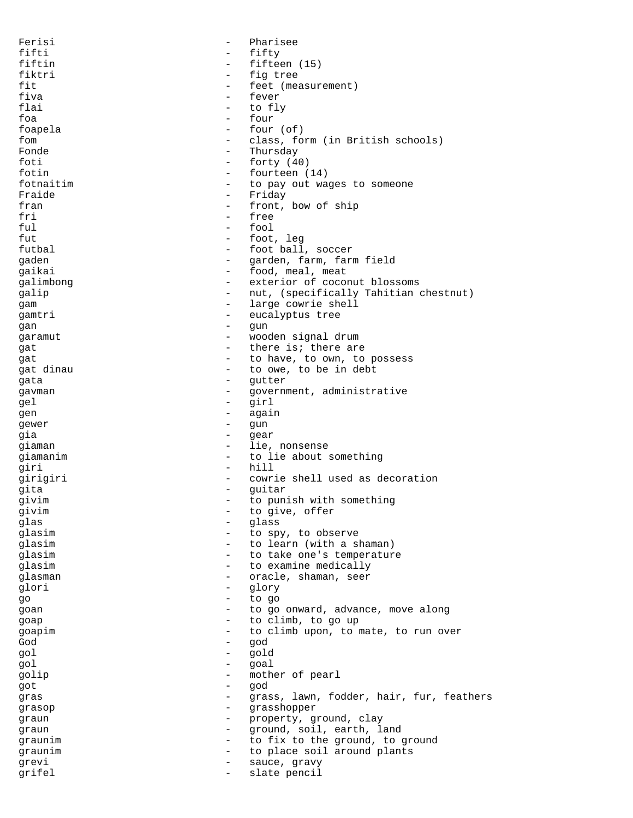Ferisi - Pharisee fifti - fifty - fifty<br>fiftin - fiftee - fifteen (15) fiktri - fig tree fit  $f$  feet (measurement)<br>fiva  $-\int$  fever fiva - fever flai - to fly foa - four foapela - four (of)<br>fom - class fo fom - class, form (in British schools) Fonde - Thursday  $-$  forty  $(40)$ fotin - fourteen (14) fotnaitim  $-$  to pay out wages to someone Fraide **-** Friday fran  $-$  front, bow of ship fri - free ful - fool fut that the set of the foot, leg<br>futbal that the foot ball futbal - foot ball, soccer<br>
caden - carden farm farm farm gaden - garden, farm, farm field gaikai  $-$  food, meal, meat galimbong  $-$  exterior of coconut blossoms galip - nut, (specifically Tahitian chestnut) gam - large cowrie shell<br>  $\frac{1}{2}$  - eucalyptus tree gamtri - eucalyptus tree gan - gun garamut - wooden signal drum gat  $-$  there is; there are gat  $\begin{array}{ccc}\n\text{gat} & - & \text{to have, to own, to possess}\n\end{array}$ gat dinau  $\begin{array}{ccc} - & + & + \sqrt{2} & + \sqrt{2} & + \sqrt{2} & + \sqrt{2} & + \sqrt{2} & + \sqrt{2} & + \sqrt{2} & + \sqrt{2} & + \sqrt{2} & + \sqrt{2} & + \sqrt{2} & + \sqrt{2} & + \sqrt{2} & + \sqrt{2} & + \sqrt{2} & + \sqrt{2} & + \sqrt{2} & + \sqrt{2} & + \sqrt{2} & + \sqrt{2} & + \sqrt{2} & + \sqrt{2} & + \sqrt{2} & + \sqrt{2} & + \sqrt{2} & + \sqrt{2} & + \sqrt{2} & + \sqrt{2} & + \sqrt$ gata - gutter<br>
gayman - government - government - government gavman - government, administrative<br>
- girl gel - girl gen again again<br>
gewer – again gewer – gun  $-$  gun  $-$  gun  $-$  gun  $-$  gun  $-$  gun  $-$  gun  $-$  gun  $-$  gun  $-$  gun  $-$  gun  $-$  gun  $-$  gun  $-$  gun  $-$  gun  $-$  gun  $-$  gun  $-$  gun  $-$  gun  $-$  gun  $-$  gun  $-$  gun  $-$  gun  $-$  gun  $-$  gun  $-$  gun  $-$  gun gia - gear qiaman - lie, nonsense giamanim  $-$  to lie about something giri - hill girigiri - cowrie shell used as decoration gita - guitar - guitar givim - to punish with something<br>  $\frac{1}{x}$  - to give offer givim  $\begin{array}{ccc} - & + \text{to give, offer} \\ - & \text{to give, offer} \end{array}$ glas - glass - glass - glass - glass - glass - glass - glass - glass - glass - glass - glass - glass - glass - glass - glass - glass - glass - glass - glass - glass - glass - glass - glass - glass - glass - glass - glass -- to spy, to observe glasim - to learn (with a shaman) glasim  $-$  to take one's temperature glasim  $\qquad -$  to examine medically glasman - oracle, shaman, seer glori - glory go - to go goan  $\qquad \qquad -$  to go onward, advance, move along goap  $\qquad \qquad -$  to climb, to go up goapim  $\begin{array}{cccc} - & \text{to climb upon, to mate, to run over} \\ - & \text{cond} & \end{array}$ God - god gol - gold gol - goal golip - mother of pearl<br>  $\begin{array}{ccc} - & \text{mod} \\ - & \text{mod} \end{array}$ got - god gras - grass, lawn, fodder, hair, fur, feathers<br>grasop - grasshopper grasop - grasshopper graun - property, ground, clay graun - ground, soil, earth, land graunim  $\begin{array}{cccc} - & \text{to fix to the ground, to ground} \\ - & \text{to place soil around plants} \end{array}$ graunim - to place soil around plants grevi - sauce, gravy grifel - slate pencil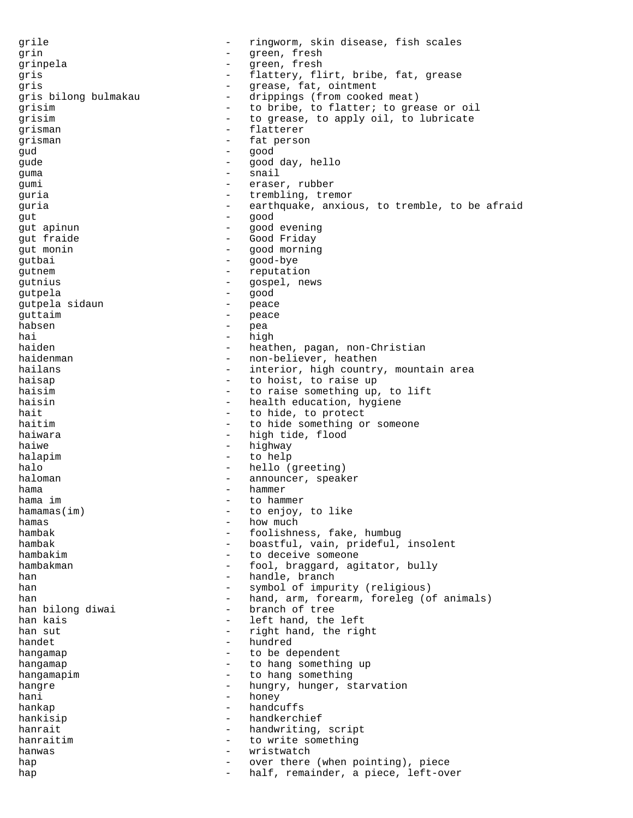grile  $-$  ringworm, skin disease, fish scales grin - green, fresh<br>grinnela - green, fresh grinpela - green, fresh gris **1988** - flattery, flirt, bribe, fat, grease gris - grease, fat, ointment drippings (from cooked meat) grisim  $-$  to bribe, to flatter; to grease or oil<br>qrisim  $-$  to grease, to apply oil, to lubricate - to grease, to apply oil, to lubricate grisman - flatterer<br>
grisman - fatterer grisman - fat person gud - good gude - good day, hello quma - snail gumi - eraser, rubber guria  $-$  trembling, tremor guria - earthquake, anxious, to tremble, to be afraid gut - good gut apinun - good evening gut fraide  $\begin{array}{ccc} - & 0 & - \\ - & 0 & - \end{array}$  Good Friday - good morning<br>- good-bye gutbai - good-bye gutnem - reputation qutnius - gospel, news gutpela - good qutpela sidaun quttaim  $\qquad \qquad -$  peace habsen – pea<br>hai – hig hai - high haiden - heathen, pagan, non-Christian haidenman - non-believer, heathen hailans  $\begin{array}{ccc}\n\text{hailans} \\
\text{haisan} \\
\text{haisan} \\
\end{array}$ haisap  $-$  to hoist, to raise up haisim  $-$  to raise something up, to lift haisin - health education, hygiene hait  $-$  to hide, to protect haitim - to hide something or someone haiwara  $-$  high tide, flood haiwe  $-$  highway halapim - to help halo  $-$  hello (greeting) haloman - announcer, speaker hama - hammer - to hammer<br>- to enjoy hamamas(im) - to enjoy, to like<br>hamas  $h$ amas  $\overline{h}$  how much  $\overline{h}$  how much  $\overline{h}$  how much  $\overline{h}$  how much  $\overline{h}$ hambak - foolishness, fake, humbug<br>hambak - hoastful vain prideful - boastful, vain, prideful, insolent hambakim - to deceive someone hambakman  $-$  fool, braggard, agitator, bully han - handle, branch han  $-$  symbol of impurity (religious) han  $-$  hand, arm, forearm, foreleg (of animals)<br>han bilong diwai  $-$  branch of tree - branch of tree han kais  $\begin{array}{ccc}\n & - & \text{left hand, the left} \\
\text{han sut} & - & \text{right hand, the right}\n\end{array}$ - right hand, the right<br>- hundred handet - hundred<br>hangaman - to be de hangamap  $-$  to be dependent hangamap  $-$  to hang something up hangamapim  $-$  to hang something hangre hungry, hunger, starvation hani - honey hankap - handcuffs hankisip - handkerchief hanrait  $-$  handwriting, script hanraitim  $-$  to write something hanwas - wristwatch hap  $-$  over there (when pointing), piece hap  $-$  half, remainder, a piece, left-over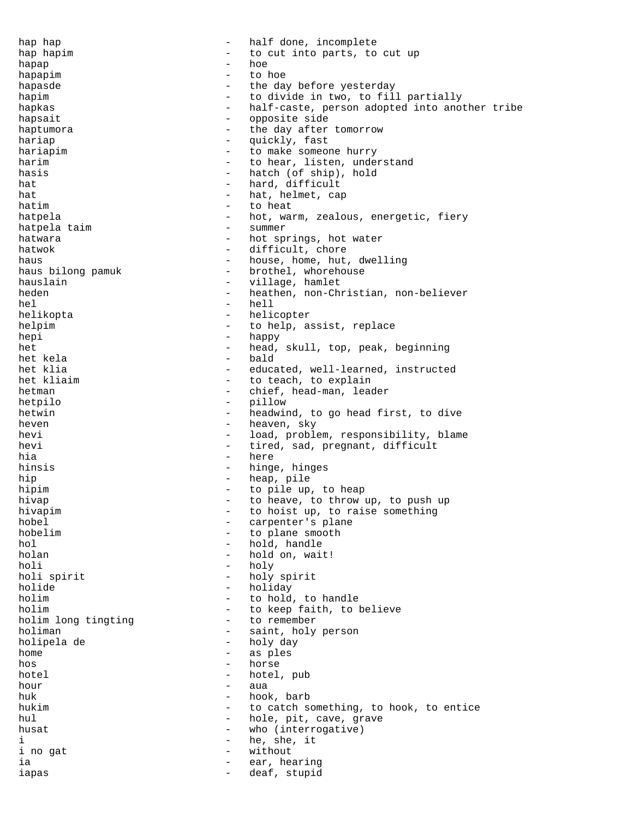hap hap  $-$  half done, incomplete hap hapim  $-$  to cut into parts, to cut up hapap - hoe hapapim  $-$  to hoe hapasde  $\qquad \qquad -$  the day before yesterday hapim  $-$  to divide in two, to fill partially hapkas - half-caste, person adopted into another tribe<br>hapsait hapsait  $-$  opposite side haptumora  $-$  the day after tomorrow<br>hariap  $-$  quickly, fast - quickly, fast hariapim  $-$  to make someone hurry harim  $-$  to hear, listen, understand hasis  $-$  hatch (of ship), hold hat  $-$  hard, difficult hat  $-$  hat, helmet, cap hatim  $-$  to heat hatpela - hot, warm, zealous, energetic, fiery<br>hatpela taim - summer - summer hatpela taim hatwara  $-$  hot springs, hot water hatwok  $-$  difficult, chore haus  $-$  house, home, hut, dwelling<br>haus bilong pamuk  $-$  brothel, whorehouse - brothel, whorehouse hauslain and the settlement of the village, hamlet heden - heathen, non-Christian, non-believer hel - hell helikopta - helicopter helpim  $-$  to help, assist, replace hepi - happy het  $-$  head, skull, top, peak, beginning<br>het kela  $-$  bald het kela - bald het klia - educated, well-learned, instructed<br>het kliaim - to teach, to explain - to teach, to explain hetman - chief, head-man, leader hetpilo - pillow hetwin - headwind, to go head first, to dive heven here are not been been heaven, sky hevi - load, problem, responsibility, blame hevi - tired, sad, pregnant, difficult hia - here hinsis - hinge, hinges hip - heap, pile hipim - to pile up, to heap hivap - to heave, to throw - to heave, to throw up, to push up hivapim  $-$  to hoist up, to raise something hobel - carpenter's plane<br>hobelim - to plane smooth hobelim  $\begin{array}{cccc} - & \text{to plane smooth} \\ - & \text{hold, handle} \end{array}$ - hold, handle holan - hold on, wait! holi - holy - holy spirit holide - holiday holim  $-$  to hold, to handle holim  $\frac{1}{2}$  - to keep faith, to believe holim long tingting  $\frac{1}{2}$  - to remember holim long tingting holiman - saint, holy person<br>holinelade - holy day holipela de - holy day home - as ples hos - horse hotel - hotel, pub hour - aua huk - hook, barb hukim  $-$  to catch something, to hook, to entice hul - hole, pit, cave, grave husat - who (interrogative)<br>i - he she it i ino gat  $\begin{array}{ccc} & - & \text{he, she, it} \\ \text{i no qat} & & - & \text{without} \end{array}$ i no gat  $-$  without ia - ear, hearing iapas - deaf, stupid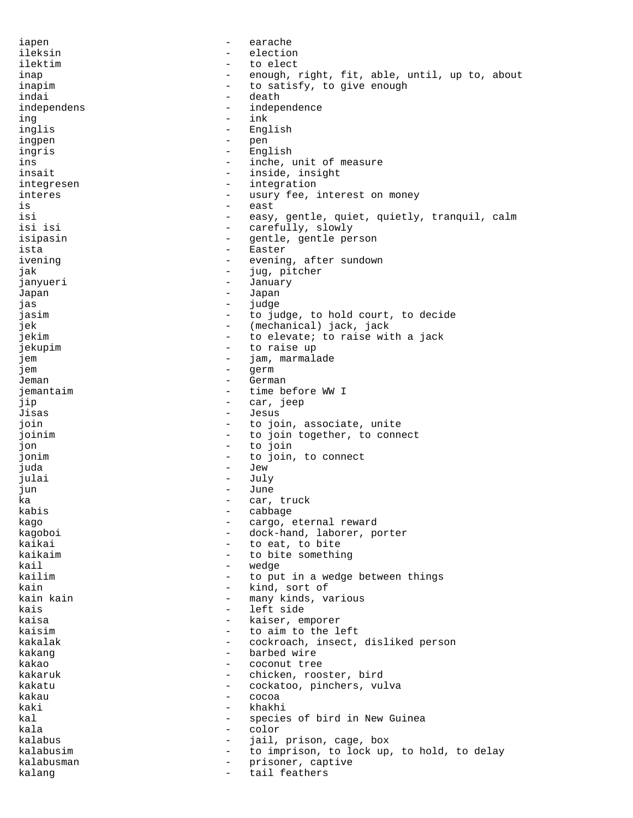iapen - earache ileksin - election ilektim - to elect inap  $-$  enough, right, fit, able, until, up to, about inapim to satisfy, to give enough indai - death<br>independens - independens independens - independence ing - ink inglis - English<br>ingnen - The Pen ingpen - pen ingris - English ins - inche, unit of measure insait  $-$  inside, insight integresen - integration interes  $-$  usury fee, interest on money is  $-$  east isi - easy, gentle, quiet, quietly, tranquil, calm - carefully, slowly<br>- centle centle per isipasin - gentle, gentle person<br>ista - Faster ista - Easter<br>ivening - evening ivening  $\begin{array}{ccc} - & - & \text{evening, after sundown} \\ - & \text{jug, picture} \end{array}$ jug, pitcher janyueri - January - January<br>Janan Japan - Japan - Japan<br>jas jas - judge jasim - to judge, to hold court, to decide jek - (mechanical) jack, jack jekim  $-$  to elevate; to raise with a jack jekupim - to raise up jem - jam, marmalade jem - germ Jeman - German - German<br>iemantaim - time b jemantaim  $\overline{a}$  - time before WW I jip - car, jeep Jisas - Jesus - Jesus - Jesus - Jesus - Jesus - Jesus - Jesus - Jesus - Jesus - Jesus - Jesus - Jesus - Jesus - Jesus - Jesus - Jesus - Jesus - Jesus - Jesus - Jesus - Jesus - Jesus - Jesus - Jesus - Jesus - Jesus - Jesus join - to join, associate, unite joinim  $\qquad \qquad -$  to join together, to connect jon - to join jonim  $-$  to join, to connect juda - Jew julai - July jun - June ka - car, truck kabis - cabbage kago  $-$  cargo, eternal reward kagoboi - dock-hand, laborer, porter<br>kaikai - to eat to bite kaikai - to eat, to bite<br>kaikaim - to bite somethii kaikaim - to bite something<br>kail - wedge kail - wedge - wedge - wedge - wedge - wedge - wedge - wedge - wedge - wedge - wedge - wedge - wedge - wedge to put in a wedge between things kain - kind, sort of kain kain  $-$  many kinds, various kais  $-$  left side kaisa - kaiser, emporer kaisim  $\sim$  - to aim to the left kakalak - cockroach, insect, disliked person<br>kakang kakang  $\begin{array}{ccc} - & - & - & - \\ - & - & - & - \end{array}$ kakao - coconut tree<br>kakaruk - coconut tree kakaruk - chicken, rooster, bird<br>kakatu - cockatoo pinchers yu kakatu - cockatoo, pinchers, vulva<br>kakau - cocoa kakau - cocoa - cocoa kaki - khakhi - khakhi - khakhi - khakhi - khakhi - khakhi - khakhi - khakhi - khakhi - khakhi - khakhi - khakhi - khakhi - khakhi - khakhi - khakhi - khakhi - khakhi - khakhi - khakhi - khakhi - khakhi - khakhi - khakhi kal  $\sim$  species of bird in New Guinea kala - color kalabus - jail, prison, cage, box kalabusim  $-$  to imprison, to lock up, to hold, to delay kalabusman - prisoner, captive kalang  $-$  tail feathers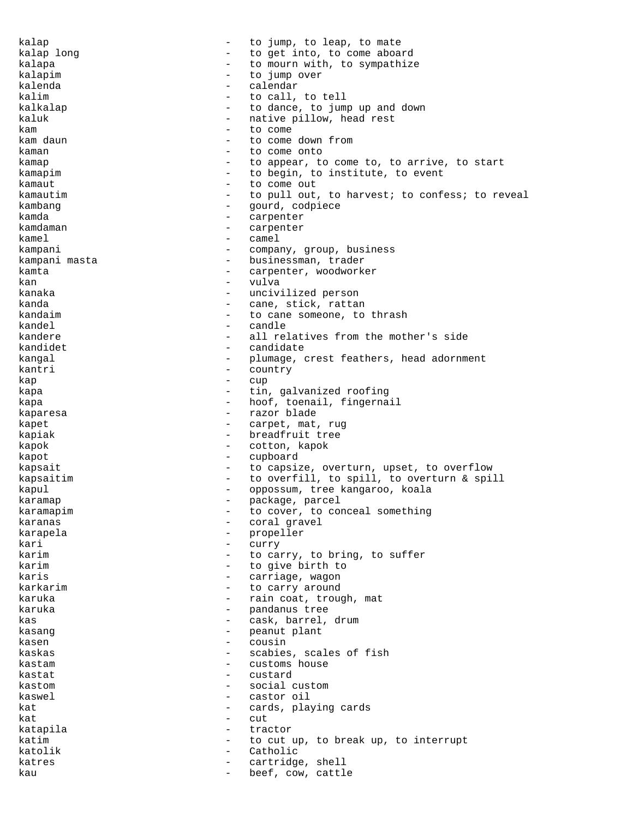kalap  $\sim$  - to jump, to leap, to mate kalap long extending the set into, to come aboard kalapa  $-$  to mourn with, to sympathize kalapim  $-$  to jump over kalenda - calendar - calendar kalim  $\qquad \qquad$  - to call, to tell kalkalap  $\qquad \qquad -$  to dance, to jump up and down kaluk - native pillow, head rest kam  $\begin{array}{ccc} - & + \text{to come} \\ - & + \text{to come} \end{array}$ - to come down from kaman  $\begin{array}{ccccccc}\n & - & \text{to come onto} \\
\text{kaman} & - & \text{to come onto} \\
\end{array}$ - to appear, to come to, to arrive, to start kamapim  $-$  to begin, to institute, to event kamaut - to come out kamautim  $-$  to pull out, to harvest; to confess; to reveal kambang  $-$  gourd, codpiece kamda - carpenter<br>kamdaman - carpenter kamdaman - carpenter<br>kamel - camel kamel - camel kampani  $-$  company, group, business kampani masta  $-$  businessman, trader kamta  $-$  carpenter, woodworker kan - vulva kanaka  $-$  uncivilized person kanda  $-$  cane, stick, rattan kandaim  $\qquad \qquad -$  to cane someone, to thrash kandel - candle kandere  $\qquad \qquad -$  all relatives from the mother's side kandidet - candidate kangal  $\qquad \qquad -$  plumage, crest feathers, head adornment<br>kantri kantri - country kap - cup kapa  $-$  tin, galvanized roofing kapa  $-$  hoof, toenail, fingernail kaparesa  $-$  razor blade kapet  $-$  carpet, mat, rug kapiak  $-$  breadfruit tree kapok - cotton, kapok kapot - cupboard kapsait  $\qquad \qquad \qquad -$  to capsize, overturn, upset, to overflow kapsaitim  $-$  to overfill, to spill, to overturn & spill kapul - oppossum, tree kangaroo, koala karamap - package, parcel<br>karamapim - to cover, to col karamapim  $-$  to cover, to conceal something karanas  $\qquad \qquad \qquad - \qquad \text{coral gravel}$ karapela - propeller<br>kari - propeller kari - curry karim  $-$  to carry, to bring, to suffer karim  $-$  to give birth to karis  $\overline{\phantom{a}}$  - carriage, wagon karkarim  $-$  to carry around karuka  $-$  rain coat, trough, mat karuka - pandanus tree<br>kas - cask barrel kas  $-$  cask, barrel, drum kasang - peanut plant kasen - cousin kaskas - scabies, scales of fish kastam  $-$  customs house kastat - custard kastom - social custom kaswel - castor oil kat  $-$  cards, playing cards kat - cut katapila - tractor katim  $-$  to cut up, to break up, to interrupt katolik - Catholic katres  $\qquad \qquad -$  cartridge, shell kau  $-$  beef, cow, cattle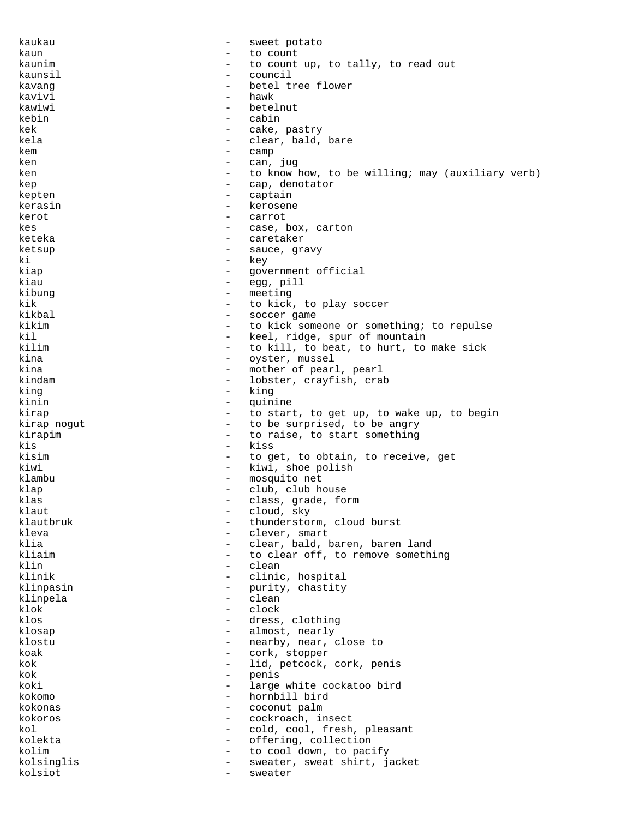kaukau - sweet potato kaun - to count kaunim  $-$  to count up, to tally, to read out kaunsil - council kavang - betel tree flower kavivi - hawkii - hawkii - hawkii - hawkii - hawkii - hawkii - hawkii - hawkii - hawkii - hawkii - hawkii - hawkii - hawkii - hawkii - hawkii - hawkii - hawkii - hawkii - hawkii - hawkii - hawkii - hawkii - hawkii - hawkii kawiwi  $-$  betelnut kebin - cabin kek - cake, pastry kela  $\qquad \qquad -$  clear, bald, bare  $k$ em  $-$  camp ken - can, jug ken  $-$  to know how, to be willing; may (auxiliary verb) kep - cap, denotator kepten - captain kerasin - kerosene kerot - carrot kes - case, box, carton<br>keteka - caretaker - caretaker keteka - caretaker<br>ketsup - caretaker<br>- sauce ari ketsup - sauce, gravy<br>ki - kev ki - key government official kiau  $-$  egg, pill kibung - meeting - meeting kik  $\overline{\phantom{a}}$  - to kick, to play soccer<br>kikbal - soccer game - soccer game kikim - to kick someone or something; to repulse kil  $\begin{array}{ccc} \text{kill} & - & \text{keel, ridge, spur of mountain} \\ \text{kill, to beat, to hurt, to} \end{array}$ kilim  $\begin{array}{cccc} - &$  to kill, to beat, to hurt, to make sick<br>kina  $\begin{array}{cccc} - &$  ovster, mussel kina - oyster, mussel - mother of pearl, pearl<br>- lobster cravfish cra kindam - lobster, crayfish, crab<br>king king - king quinine kirap  $-$  to start, to get up, to wake up, to begin kirap nogut  $-$  to be surprised, to be angry kirapim - to raise, to start something<br>  $\frac{1}{10}$ kis - kiss kisim  $-$  to get, to obtain, to receive, get kiwi - kiwi, shoe polish klambu - mosquito net klap - club, club house klas - class, grade, form klaut - cloud, sky klautbruk - thunderstorm, cloud burst<br>
kleva - clever, smart kleva - clever, smart klia - clear, bald, baren, baren land<br>kliaim - clear off, to remove someth kliaim  $\begin{array}{ccc} - & \text{to clear off, to remove something} \\ - & \text{clean} \end{array}$ klin - clean - clean - clean - clean - clean - clean - clean - climic - clinic, hospital klinpasin - purity, chastity klinpela - clean klok - clock klos - dress, clothing klosap  $-$  almost, nearly klostu - nearby, near, close to<br>koak - cork stopper koak - cork, stopper<br>kok - lid petgogk kok - lid, petcock, cork, penis<br>
- nenis - penis<br>- large koki - large white cockatoo bird kokomo - hornbill bird kokonas - coconut palm kokoros - cockroach, insect kol  $\sim$  - cold, cool, fresh, pleasant kolekta - offering, collection<br>kolim - conditions - conditions in the part kolim - to cool down, to pacify - sweater, sweat shirt, jacket kolsiot - sweater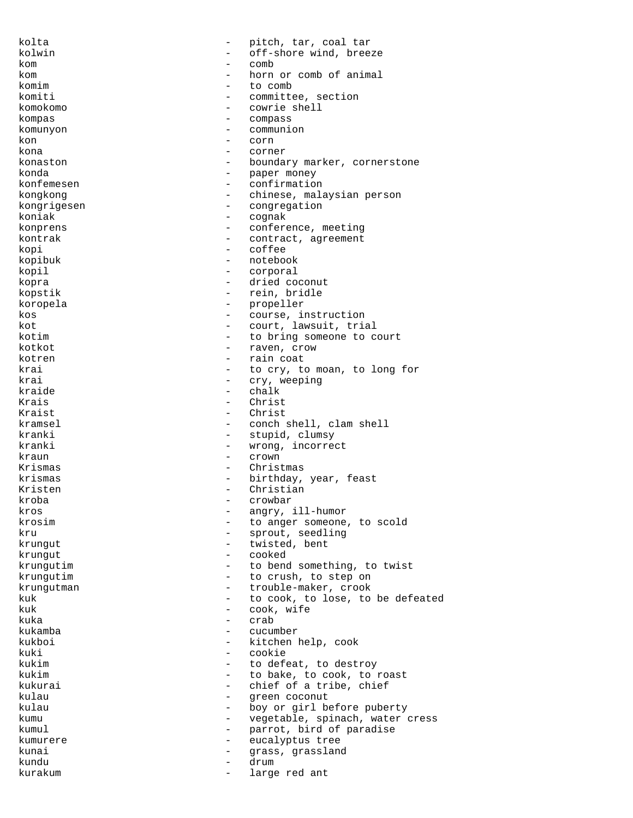kolta  $-$  pitch, tar, coal tar kolwin - off-shore wind, breeze<br>kom - comb - comb kom - comb kom - horn or comb of animal komim - to comb komiti - committee, section<br>
komokomo komokomo - cowrie shell kompas - compass - compass - compass - compass - compass - compass - compass - compass - computed by  $\sim$  community - community - community - community - community - community - community - community - community - communit komunyon - communion<br>kon - corn kon - corn kona - corner konaston - boundary marker, cornerstone konda  $-$  paper money konfemesen - confirmation kongkong  $-$  chinese, malaysian person kongrigesen - congregation koniak - cognak konprens - conference, meeting<br>
kontrak - contract agreement kontrak - contract, agreement<br>
kopi - coffee kopi - coffee - coffee - coffee - coffee - coffee - coffee - coffee - coffee - coffee - coffee - coffee - coffee - coffee - coffee - coffee - coffee - coffee - coffee - coffee - coffee - coffee - coffee - coffee - coffee -- notebook<br>- corporal kopil - corporal kopra - dried coconut kopstik - rein, bridle koropela - propeller kos - course, instruction kot  $-$  court, lawsuit, trial kotim  $-$  to bring someone to court kotkot - raven, crow kotren  $-$  rain coat krai - to cry, to moan, to long for<br>krai - cry, weeping - cry, weeping<br>- chalk kraide - chalk<br>Krais - christ - Christ<br>- Christ Kraist - Christ<br>kramsel - Christ<br>- Conch kramsel - conch shell, clam shell kranki - stupid, clumsy<br>kranki - wrong, incorre kranki - wrong, incorrect kraun - crown - crown Krismas - Christmas - Christmas krismas - birthday, year, feast Kristen - Christian kroba - crowbar kros - angry, ill-humor krosim  $\sim$  - to anger someone, to scold kru - sprout, seedling - twisted, bent<br>- cooked krungut - cooked krungutim  $\qquad \qquad -$  to bend something, to twist krungutim - to crush, to step on krungutman - trouble-maker, crook kuk  $-$  to cook, to lose, to be defeated kuk - cook, wife kuka - crab - crab - crab - crab - crab - crab - crab - crab - crab - crab - crab kukamba - cucumber kukboi - kitchen help, cook<br>kuki - cookie - cookie kuki - cookie kukim  $\begin{array}{ccc} - & + & + \end{array}$  to defeat, to destroy kukim  $\begin{array}{ccc} - & + \end{array}$  to bake, to cook, to : - to bake, to cook, to roast kukurai - chief of a tribe, chief<br>
- chief codenut - chief codenut - chief codenut - chief codenut kulau - green coconut kulau  $\qquad \qquad -$  boy or girl before puberty kumu - vegetable, spinach, water cress kumul - parrot, bird of paradise kumurere - eucalyptus tree kunai  $-$  grass, grassland kundu - drum kurakum  $-$  large red ant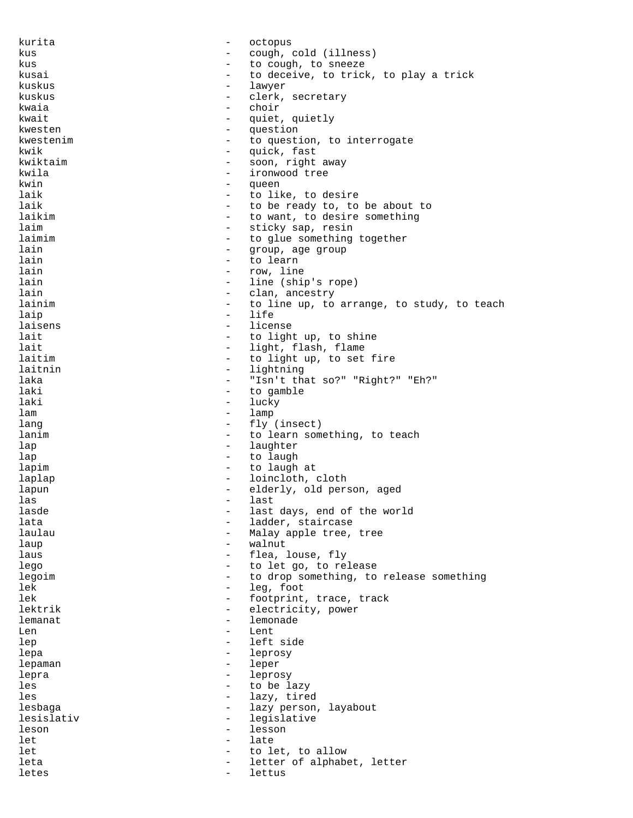kurita - octopus kus - cough, cold (illness) kus  $-$  to cough, to sneeze kusai  $-$  to deceive, to trick, to play a trick kuskus - lawyer kuskus - clerk, secretary<br>
kwaia - choir kwaia - choir kwait - quiet, quietly question kwestenim  $-$  to question, to interrogate kwik - quick, fast kwiktaim  $-$  soon, right away kwila - ironwood tree kwin - queen laik  $-$  to like, to desire laik  $-$  to be ready to, to be about to laikim  $-$  to want, to desire something laim  $\begin{array}{ccc} - & + \end{array}$  sticky sap, resin<br>laimim  $\begin{array}{ccc} - & + \end{array}$  to glue something laimim - to glue something together<br>lain - aroup, age group lain - group, age group lain - to learn - row, line lain  $\qquad \qquad -$  line (ship's rope) lain and the clan, ancestry lainim  $\begin{array}{ccc}\n & - & \text{to line up, to arrange, to study, to teach} \\
\end{array}$ laip - life laisens - license lait  $-$  to light up, to shine lait - light, flash, flame<br>laitim - to light in to set laitim  $-$  to light up, to set fire laitnin - lightning<br>laka - "Isn't the laka - "Isn't that so?" "Right?" "Eh?" laki - to gamble lucky lam - lamp lang  $-$  fly (insect) lanim  $\qquad \qquad -$  to learn something, to teach lap - laughter lap - to laugh<br>
lapim - to laugh<br>
- to laugh lapim  $\qquad \qquad -$  to laugh at laplap - loincloth, cloth lapun - elderly, old person, aged las - last lasde  $\qquad \qquad -$  last days, end of the world<br>lata  $\qquad \qquad -$  ladder staircase lata  $\qquad \qquad -$  ladder, staircase laulau - Malay apple tree, tree<br>
laun - walnut - walnut laup - walnut laus  $-$  flea, louse, fly lego  $-$  to let go, to release legoim  $-$  to drop something, to release something lek - leg, foot lek  $-$  footprint, trace, track lektrik  $-$  electricity, power lemanat - lemonade Len - Lent - left side<br>- leprosy lepa - leprosy - leprosy - leprosy<br>lepaman - leper - leper leper lepra - leprosy les - to be lazy<br>les - lazy, tire - lazy, tired lesbaga - lazy person, layabout<br>lesislativ - legislative lesislativ - legislative leson - lesson let - late let  $\qquad \qquad -$  to let, to allow leta - letter of alphabet, letter letes - lettus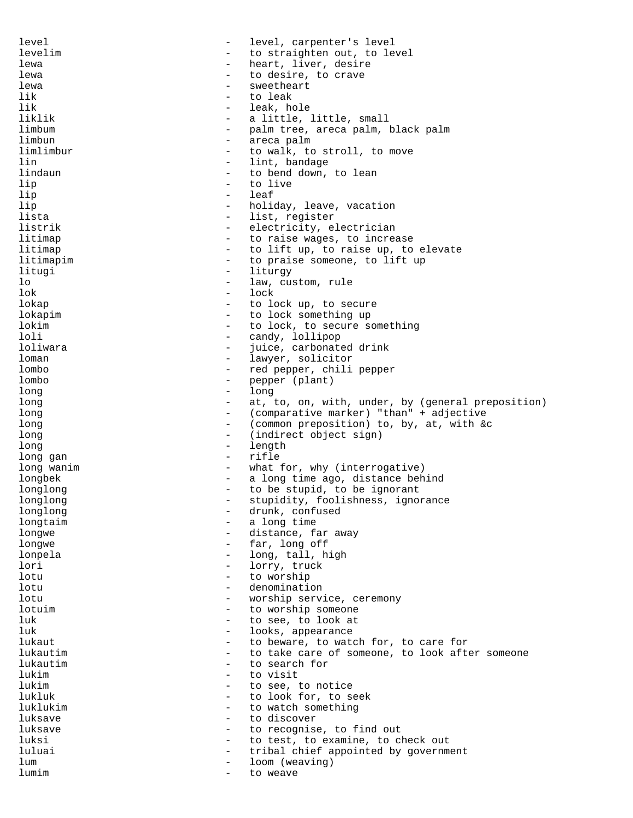level - level, carpenter's level levelim - to straighten out, to level lewa  $-$  heart, liver, desire lewa  $\qquad \qquad -$  to desire, to crave lewa - sweetheart lik - to leak lik - leak, hole liklik - a little, little, small<br>limbum - balm tree, areca palm, - palm tree, areca palm, black palm limbun - areca palm limlimbur - to walk, to stroll, to move lin 1.1 and 1.1 and 1.1 and 1.1 and 1.1 and 1.1 and 1.1 and 1.1 and 1.1 and 1.1 and 1.1 and 1.1 and 1.1 and 1.1 and 1.1 and 1.1 and 1.1 and 1.1 and 1.1 and 1.1 and 1.1 and 1.1 and 1.1 and 1.1 and 1.1 and 1.1 and 1.1 and 1. - to bend down, to lean lip - to live lip - leaf lip  $\qquad \qquad -$  holiday, leave, vacation lista - list, register listrik - electricity, electrician litimap  $-$  to raise wages, to increase litimap  $-$  to lift up, to raise up, to elevate litimapim  $-$  to praise someone, to lift up<br>litugi  $-$  liturgy - liturgy lo - law, custom, rule lok - lock lokap - to lock up, to secure lokapim  $-$  to lock something up lokim  $-$  to lock, to secure something loli - candy, lollipop loliwara - juice, carbonated drink<br>
loman - lawyer solicitor loman - lawyer, solicitor<br>lombo - red pepper chili lombo - red pepper, chili pepper lombo - pepper (plant)<br>long - long long - long long and the long of the state of the state of the state of the state of the long of the long of the long of the long of the long of the long of the long of the long of the long of the long of the long of the long of the l long  $\sim$  (comparative marker) "than" + adjective<br>long  $\sim$  (common preposition) to by at with & long  $-$  (common preposition) to, by, at, with &c long  $\qquad \qquad -$  (indirect object sign)<br>long  $\qquad -$  length long  $-$  length long gan  $-$  rifle long wanim  $\qquad \qquad -$  what for, why (interrogative) longbek - a long time ago, distance behind longlong  $\begin{array}{ccc} - & + & + \end{array}$  to be stupid, to be ignorant longlong longlong - stupidity, foolishness, ignorance<br>longlong - drunk confused longlong  $\qquad \qquad -$  drunk, confused longtaim longtaim  $\overline{a}$  - a long time longwe  $-$  distance, far away longwe - far, long off lonpela  $\qquad \qquad -$  long, tall, high lori - lorry, truck<br>
lotu - to worship lotu - to worship lotu - denomination lotu - worship service, ceremony lotuim  $\qquad \qquad -$  to worship someone luk  $\qquad \qquad -$  to see, to look at luk  $-$  looks, appearance lukaut 10 million and the beware, to watch for, to care for lukauting the set of some to look after the lukauting the set of some of some one, to look after lukautim  $-$  to take care of someone, to look after someone<br>lukautim  $-$  to search for lukautim  $\begin{array}{ccc} - & + & + \end{array}$  to search for lukim - to visit lukim  $-$  to see, to notice lukluk  $-$  to look for, to seek luklukim - to watch something luksave  $\qquad \qquad -$  to discover luksave  $\qquad \qquad -$  to recognise, to find out luksi - to test, to examine, to check out<br>luluai - tribal chief appointed by government luluai - tribal chief appointed by government lum  $-$  loom (weaving) lumim  $-$  to weave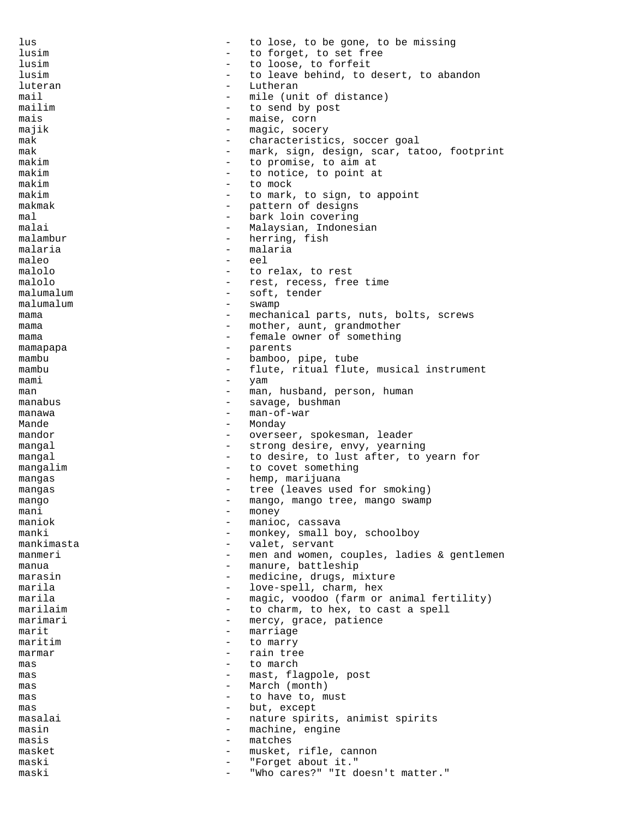lus  $\qquad \qquad -$  to lose, to be gone, to be missing lusim  $-$  to forget, to set free lusim - to loose, to forfeit lusim - to leave behind, to desert, to abandon luteran - Lutheran - Lutheran mail  $-$  mile (unit of distance)<br>mailim  $-$  to send by post mailim  $-$  to send by post<br>mais  $-$  maise, corn mais - maise, corn majik - magic, socery<br>mak - characteristi characteristics, soccer goal mak - mark, sign, design, scar, tatoo, footprint makim - to promise, to aim at<br>makim - to potice to point at makim  $-$  to notice, to point at makim  $-$  to mock makim  $-$  to mark, to sign, to appoint makmak - pattern of designs mal - bark loin covering - Malaysian, Indonesian<br>- herring fish malambur - herring, fish<br>malaria malaria - malaria maleo - eel malolo  $-$  to relax, to rest malolo  $-$  rest, recess, free time malumalum - soft, tender malumalum - swamp mama - mechanical parts, nuts, bolts, screws mama  $-$  mother, aunt, grandmother mama  $-$  female owner of something mamapapa - parents mambu - bamboo, pipe, tube mambu - flute, ritual flute, musical instrument mami - yam man  $-$  man, husband, person, human manabus - savage, bushman manawa - man-of-war<br>Mande - Monday Mande - Monday mandor  $-$  overseer, spokesman, leader mangal  $\qquad \qquad -$  strong desire, envy, yearning mangal  $-$  to desire, to lust after, to yearn for mangalim  $-$  to covet something mangas - hemp, marijuana mangas - tree (leaves used for smoking) mango - mango, mango tree, mango swamp  $m$ ani - money - money - money - money - money - money - money - money - money - money - money - money - money - money - money - money - money - money - money - money - money - money - money - money - money - money - mone maniok - manioc, cassava<br>manki - monkey small bo manki - monkey, small boy, schoolboy<br>mankimasta - valet, servant valet, servant manmeri - men and women, couples, ladies & gentlemen manua - manure, battleship marasin  $-$  medicine, drugs, mixture marila  $-$  love-spell, charm, hex marila  $-$  magic, voodoo (farm or animal fertility) marilaim  $-$  to charm, to hex, to cast a spell marimari  $-$  mercy, grace, patience marit - marriage maritim  $-$  to marry marmar  $-$  rain tree mas - to march mas  $-$  mast, flagpole, post mas  $-$  March (month)<br>mas  $-$  to have to  $m$ mas  $-$  to have to, must  $-$  hut except mas - but, except - nature spirits, animist spirits masin  $-$  machine, engine masis - matches masket - musket, rifle, cannon maski  $-$  "Forget about it." maski - "Who cares?" "It doesn't matter."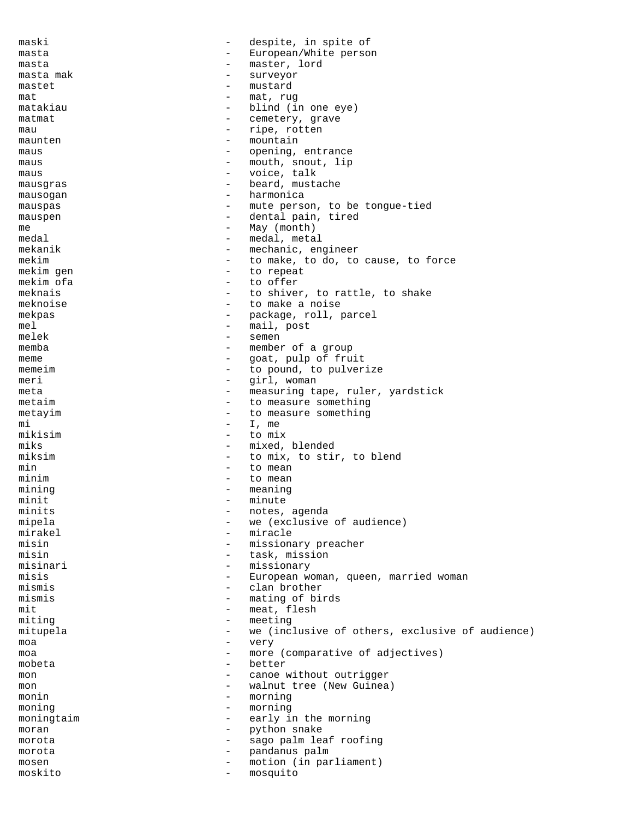maski - despite, in spite of masta  $\overline{\phantom{a}}$  European/White person masta - master, lord masta mak  $-$  surveyor mastet - mustard mat - mat, rug matakiau - blind (in one eye)<br>matmat matmat - cemetery, grave mau - ripe, rotten<br>maunten - ripe, rotten<br>- mountain maunten – mountain<br>maus – mountain<br>example – opening maus - opening, entrance maus - mouth, snout, lip<br>maus - voice, talk maus - voice, talk mausgras - beard, mustache mausogan - harmonica mauspas  $-$  mute person, to be tongue-tied mauspen - dental pain, tired me  $-$  May (month)  $-$  May (month)  $-$  medal meta medal - medal, metal<br>mekanik - mechanic en mekanik - mechanic, engineer<br>mekim - to make to do to mekim  $-$  to make, to do, to cause, to force mekim qen  $-$  to repeat to repeat mekim ofa  $-$  to offer meknais  $-$  to shiver, to rattle, to shake meknoise - to make a noise mekpas - package, roll, parcel mel - mail, post melek - semen memba - member of a group meme  $-$  goat, pulp of fruit memeim  $\begin{array}{cccc}\n-\text{to pound, to pulverige} \\
-\text{airl woman}\n\end{array}$ meri - girl, woman<br>meta - measuring ta meta - measuring tape, ruler, yardstick<br>
- to measure something metaim  $-$  to measure something metayim  $-$  to measure something  $min$   $-$  I,  $me$ mikisim - to mix miks  $-$  mixed, blended miksim - to mix, to stir, to blend min  $-$  to mean minim  $-$  to mean mining  $-$  meaning minit - minute - minute - minute - minute - minute - minute - minute - minute - minute - minute - minute - minute - minute - minute - minute - minute - minute - minute - minute - minute - minute - minute - minute - minute minits  $\overline{\phantom{a}}$  - notes, agenda mipela - we (exclusive of audience) mirakel - miracle<br>misin - missional - missional - missionary preacher misin - task, mission misinari - missionary misis - European woman, queen, married woman mismis - clan brother mismis - mating of birds mit - meat, flesh miting  $-$  meeting mitupela - we (inclusive of others, exclusive of audience) moa - very moa - more (comparative of adjectives)<br>mobeta mobeta - better<br>mon - canoe mon - canoe without outrigger<br>
- walnut tree (New Guinea mon - walnut tree (New Guinea)<br>monin - morning monin - morning<br>moning - morning - morning moning - morning - morning<br>moningtaim - early i moningtaim  $-$  early in the morning moran - python snake morota - sago palm leaf roofing morota - pandanus palm mosen - motion (in parliament) moskito - mosquito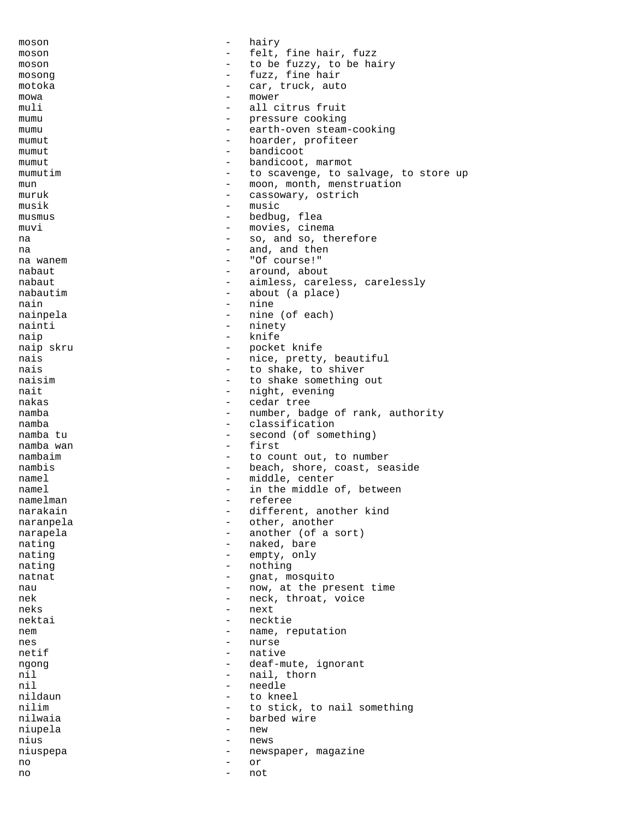moson - hairy moson - felt, fine hair, fuzz<br>moson - fo be fuzzy to be ha moson  $\qquad \qquad$  - to be fuzzy, to be hairy mosong  $-$  fuzz, fine hair motoka  $-$  car, truck, auto  $m \times m$  - mower<br>muli  $m \times m$  -  $m \times m$ muli - all citrus fruit<br>mumu mumu - pressure cooking<br>mumu - earth-oven steam earth-oven steam-cooking mumut - hoarder, profiteer mumut - bandicoot<br>mumut - bandicoot mumut  $\qquad \qquad -$  bandicoot, marmot mumutim  $-$  to scavenge, to salvage, to store up mun - moon, month, menstruation muruk - cassowary, ostrich musik - music musmus - bedbug, flea muvi - movies, cinema na  $-$  so, and so, therefore na  $\begin{array}{ccc} & - & \text{and, and then} \\ \text{na wann} & - & \text{``Of course!''} \end{array}$ na wanem - "Of course!" - around, about nabaut - aimless, careless, carelessly nabautim - about (a place) nain - nine nainpela - nine (of each) nainti  $-$  ninety naip - knife naip skru <a>>
->
->
->
pocket knife nais - nice, pretty, beautiful<br>
- to shake to shiver nais  $-$  to shake, to shiver<br>naisim<br> $-$  to shake something naisim - to shake something out<br>
nait - night, evening nait - night, evening<br>
nakas - cedar tree cedar tree namba - number, badge of rank, authority namba - classification - second (of something)<br>- first namba wan nambaim  $-$  to count out, to number nambis - beach, shore, coast, seaside namel - middle, center namel - in the middle of, between namelman - referee<br>narakain - differen narakain - different, another kind<br>naranpela - cher. another naranpela - other, another narapela - another (of a sort) nating  $\begin{array}{ccc} - & \text{maked, bare} \\ - & \text{maked, bare} \end{array}$ nating  $-$  empty, only<br>nating  $-$  hothing - nothing natnat - gnat, mosquito nau  $\sim$  - now, at the present time nek - neck, throat, voice neks - next nektai - necktie nem entry and the name, reputation nes - nurse - nurse - nurse netif - native<br>native - native - native ngong - deaf-mute, ignorant nil - nail, thorn<br>
nil - needle nil - needle nildaun - to kneel<br>nilim - to stick nilim - to stick, to nail something<br>
nilwaia - harbed wire - barbed wire niupela - new nius - news niuspepa - newspaper, magazine no - or no - not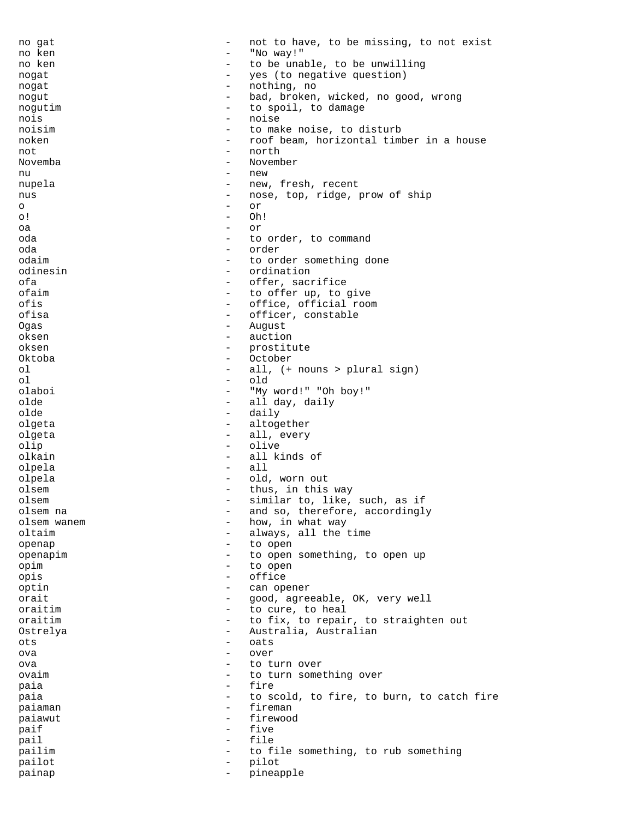| no gat         |                                               | not to have, to be missing, to not exist  |
|----------------|-----------------------------------------------|-------------------------------------------|
| no ken         |                                               | "No way!"                                 |
| no ken         | -                                             | to be unable, to be unwilling             |
| noqat          | $\overline{\phantom{0}}$                      | yes (to negative question)                |
| nogat          | $\overline{\phantom{0}}$                      | nothing, no                               |
| noqut          | $\qquad \qquad -$                             | bad, broken, wicked, no good, wrong       |
| noqutim        | -                                             | to spoil, to damage                       |
| nois           | -                                             | noise                                     |
| noisim         | $\qquad \qquad -$                             | to make noise, to disturb                 |
| noken          | $\qquad \qquad -$<br>$\overline{\phantom{0}}$ | roof beam, horizontal timber in a house   |
| not            | $\overline{\phantom{0}}$                      | north<br>November                         |
| Novemba<br>nu  | $\overline{\phantom{0}}$                      | new                                       |
| nupela         | $\overline{\phantom{0}}$                      | new, fresh, recent                        |
| nus            | $\overline{\phantom{0}}$                      | nose, top, ridge, prow of ship            |
| O              | $\overline{\phantom{0}}$                      | or                                        |
| o !            | $\overline{\phantom{0}}$                      | Oh!                                       |
| oa             | $\qquad \qquad -$                             | or                                        |
| oda            | $\overline{\phantom{0}}$                      | to order, to command                      |
| oda            |                                               | order                                     |
| odaim          | $\overline{\phantom{0}}$                      | to order something done                   |
| odinesin       | $\qquad \qquad -$                             | ordination                                |
| ofa            | $\qquad \qquad -$                             | offer, sacrifice                          |
| ofaim          | -                                             | to offer up, to give                      |
| ofis           | $\qquad \qquad -$                             | office, official room                     |
| ofisa          | $\qquad \qquad -$                             | officer, constable                        |
| Oqas           | $\overline{\phantom{m}}$                      | August                                    |
| oksen          | $\overline{\phantom{0}}$                      | auction                                   |
| oksen          | $\qquad \qquad -$                             | prostitute                                |
| Oktoba         | $\qquad \qquad -$                             | October                                   |
| οl             | $\qquad \qquad -$                             | all, (+ nouns > plural sign)              |
| οl             | $\overline{\phantom{0}}$                      | old                                       |
| olaboi         | $\overline{\phantom{0}}$                      | "My word!" "Oh boy!"                      |
| olde           | $\overline{\phantom{m}}$                      | all day, daily                            |
| olde<br>olqeta | $\qquad \qquad -$<br>$\overline{\phantom{0}}$ | daily<br>altogether                       |
| olqeta         | $\overline{\phantom{m}}$                      | all, every                                |
| olip           | $\overline{\phantom{0}}$                      | olive                                     |
| olkain         | $\qquad \qquad -$                             | all kinds of                              |
| olpela         | $\overline{\phantom{0}}$                      | all                                       |
| olpela         | $\qquad \qquad -$                             | old, worn out                             |
| olsem          |                                               | thus, in this way                         |
| olsem          |                                               | similar to, like, such, as if             |
| olsem na       | -                                             | and so, therefore, accordingly            |
| olsem wanem    |                                               | how, in what way                          |
| oltaim         | -                                             | always, all the time                      |
| openap         | $\qquad \qquad -$                             | to open                                   |
| openapim       |                                               | to open something, to open up             |
| opim           | -                                             | to open                                   |
| opis           | $\overline{\phantom{0}}$                      | office                                    |
| optin          | -                                             | can opener                                |
| orait          | -                                             | good, agreeable, OK, very well            |
| oraitim        |                                               | to cure, to heal                          |
| oraitim        | $\qquad \qquad -$                             | to fix, to repair, to straighten out      |
| Ostrelya       | $\qquad \qquad -$                             | Australia, Australian                     |
| ots            | $\qquad \qquad -$                             | oats                                      |
| ova            | -                                             | over                                      |
| ova<br>ovaim   | -<br>$\qquad \qquad -$                        | to turn over<br>to turn something over    |
|                | $\qquad \qquad -$                             | fire                                      |
| paia<br>paia   | $\overline{\phantom{0}}$                      | to scold, to fire, to burn, to catch fire |
| paiaman        | $\overline{\phantom{0}}$                      | fireman                                   |
| paiawut        | $\overline{\phantom{0}}$                      | firewood                                  |
| paif           | $\qquad \qquad -$                             | five                                      |
| pail           | $\qquad \qquad -$                             | file                                      |
| pailim         | $\qquad \qquad -$                             | to file something, to rub something       |
| pailot         | -                                             | pilot                                     |
| painap         | $\overline{\phantom{m}}$                      | pineapple                                 |
|                |                                               |                                           |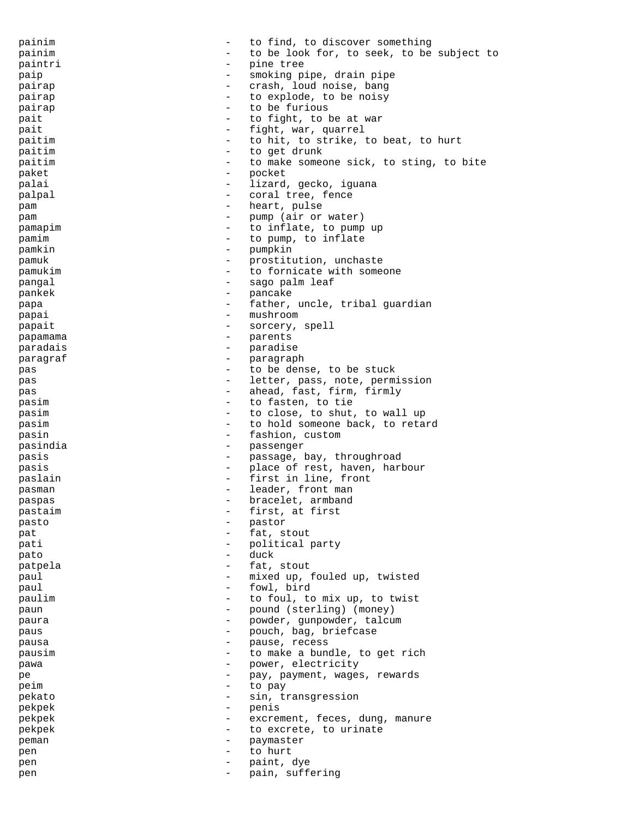painim  $-$  to find, to discover something painim  $-$  to be look for, to seek, to be subject to paintri  $-$  pine tree paip  $-$  smoking pipe, drain pipe pairap  $-$  crash, loud noise, bang pairap - to explode, to be noisy<br>
- to be furious pairap  $-$  to be furious pait  $\begin{array}{ccc} - & \text{to fight, to be at war} \\ - & \text{fight, to be at war}\end{array}$ pait  $-$  fight, war, quarrel<br>
paitimeters and the strike in the strike is paitim  $\begin{array}{cccc} - & \text{to hit, to strike, to beat, to hurt} \\ - & \text{to get drink} \end{array}$ paitim  $\overline{a}$  - to get drunk<br>naitim  $\overline{a}$  - to make some paitim  $\qquad \qquad -$  to make someone sick, to sting, to bite<br>raket  $\qquad \qquad -$  pocket paket - pocket palai  $-$  lizard, gecko, iguana palpal  $\qquad \qquad -$  coral tree, fence pam - heart, pulse pam - pump (air or water) pamapim  $\begin{array}{cccc} - & \text{to } \text{infinite, to pump up} \\ - & \text{to } \text{num to infinite} \end{array}$ pamim  $\begin{array}{ccc} - & \text{to pump, to influence} \\ - & \text{toyump, to influence} \end{array}$ pamkin - pumpkin - pumpkin - pumpkin - pumpkin - pumpkin - pumpkin - pumpkin - pumpkin - pumpkin - pumpkin - pumpkin - pumpkin - pumpkin - pumpkin - pumpkin - pumpkin - pumpkin - pumpkin - pumpkin - pumpkin - pumpkin - pum pamuk - prostitution, unchaste pamukim - to fornicate with someone pangal  $-$  sago palm leaf pankek - pancake papa - father, uncle, tribal guardian<br>
- mushroom - mushroom papai - mushroom papait  $\qquad \qquad -$  sorcery, spell papamama - parents paradais - paradise paragraf - paragraph pas - to be dense, to be stuck<br>
- letter pass note permit pas - letter, pass, note, permission<br>
- aboad fast firm firmly pas - ahead, fast, firm, firmly<br>
- to fasten to tie pasim  $-$  to fasten, to tie pasim  $-$  to close, to shut, to wall up pasim  $\qquad \qquad -$  to hold someone back, to retard pasin - fashion, custom<br>nasindia - custom - passenger pasindia - passenger pasis  $-$  passage, bay, throughroad pasis  $\qquad \qquad \text{place of rest, haven, harbour}$ paslain  $-$  first in line, front pasman  $-$  leader, front man paspas - bracelet, armband<br>
pastaim<br>
- first at first pastaim  $\overline{a}$  - first, at first<br>pasto  $\overline{a}$  - pastor pasto - pastor pat  $-$  fat, stout pati  $\begin{array}{ccc} - & \text{polirical party} \\ - & \text{duck} \end{array}$ pato - duck patpela  $-$  fat, stout paul - mixed up, fouled up, twisted paul - fowl, bird paulim  $\qquad \qquad -$  to foul, to mix up, to twist paun  $\qquad \qquad -$  pound (sterling) (money) paura  $\qquad \qquad -$  powder, gunpowder, talcum paus - pouch, bag, briefcase pausa  $\qquad \qquad \qquad -$  pause, recess pausim  $\begin{array}{cccc} - & \text{to make a bundle, to get rich} \\ - & \text{power - electricity} \end{array}$ pawa  $\begin{array}{cccc} - & \text{power, electricity} \ - & \text{power, quantity} \end{array}$ pe - pay, payment, wages, rewards<br>
- to pay peim - to pay<br>
pekato - to pay pekato - sin, transgression<br>
- sin, transgression<br>
- peris pekpek - penis pekpek - excrement, feces, dung, manure pekpek  $-$  to excrete, to urinate peman - paymaster pen - to hurt pen - paint, dye pen - pain, suffering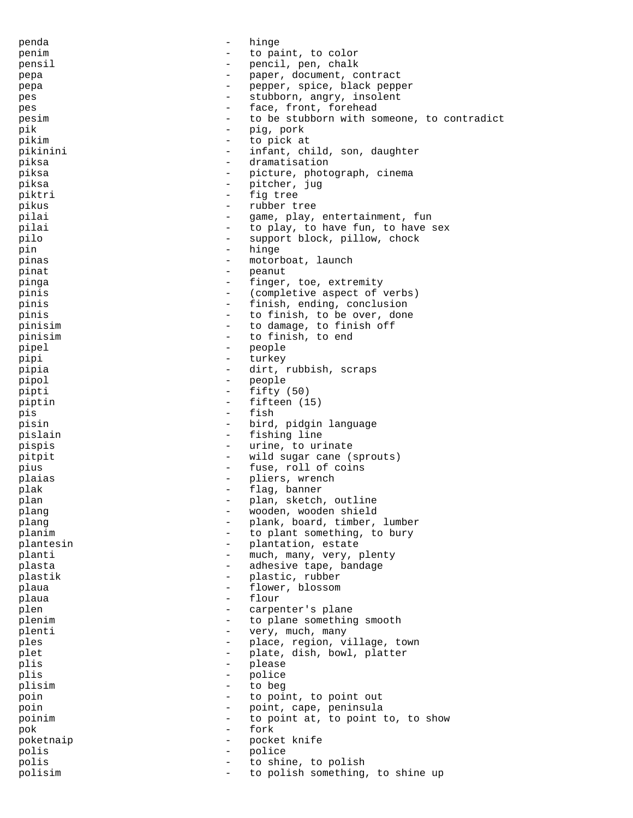| penda     | $\qquad \qquad -$        | hinge                                      |
|-----------|--------------------------|--------------------------------------------|
| penim     | $\qquad \qquad -$        | to paint, to color                         |
| pensil    | -                        | pencil, pen, chalk                         |
| pepa      | $\overline{\phantom{0}}$ | paper, document, contract                  |
| pepa      | $\qquad \qquad -$        | pepper, spice, black pepper                |
| pes       | $\overline{\phantom{0}}$ | stubborn, angry, insolent                  |
| pes       | $\overline{\phantom{0}}$ | face, front, forehead                      |
| pesim     |                          |                                            |
|           | $\qquad \qquad -$        | to be stubborn with someone, to contradict |
| pik       | $\qquad \qquad -$        | pig, pork                                  |
| pikim     | $\equiv$                 | to pick at                                 |
| pikinini  | $\overline{\phantom{0}}$ | infant, child, son, daughter               |
| piksa     | $\overline{\phantom{0}}$ | dramatisation                              |
| piksa     | $\overline{\phantom{0}}$ | picture, photograph, cinema                |
| piksa     | $\overline{\phantom{0}}$ | pitcher, jug                               |
| piktri    | $\overline{\phantom{0}}$ | fig tree                                   |
| pikus     | $\overline{\phantom{0}}$ | rubber tree                                |
| pilai     | $\qquad \qquad -$        | game, play, entertainment, fun             |
| pilai     | $\overline{\phantom{0}}$ | to play, to have fun, to have sex          |
| pilo      | $\overline{\phantom{0}}$ |                                            |
|           |                          | support block, pillow, chock               |
| pin       | $\qquad \qquad -$        | hinge                                      |
| pinas     | $\overline{\phantom{0}}$ | motorboat, launch                          |
| pinat     | $\overline{\phantom{a}}$ | peanut                                     |
| pinga     | $\overline{\phantom{0}}$ | finger, toe, extremity                     |
| pinis     | $\overline{\phantom{0}}$ | (completive aspect of verbs)               |
| pinis     | $-$                      | finish, ending, conclusion                 |
| pinis     | $\qquad \qquad -$        | to finish, to be over, done                |
| pinisim   | $\overline{\phantom{0}}$ | to damage, to finish off                   |
| pinisim   | $\overline{\phantom{a}}$ | to finish, to end                          |
| pipel     | $\qquad \qquad -$        |                                            |
|           |                          | people                                     |
| pipi      | $\qquad \qquad -$        | turkey                                     |
| pipia     | $\overline{\phantom{0}}$ | dirt, rubbish, scraps                      |
| pipol     | $\qquad \qquad -$        | people                                     |
| pipti     | -                        | fifty(50)                                  |
| piptin    | $\overline{\phantom{0}}$ | fifteen (15)                               |
| pis       | $\equiv$                 | fish                                       |
| pisin     | $-$                      | bird, pidgin language                      |
| pislain   | $\sim$                   | fishing line                               |
| pispis    | $\overline{\phantom{0}}$ | urine, to urinate                          |
| pitpit    | $\overline{\phantom{0}}$ | wild sugar cane (sprouts)                  |
| pius      | $\overline{\phantom{a}}$ | fuse, roll of coins                        |
| plaias    | $-$                      | pliers, wrench                             |
|           |                          |                                            |
| plak      | $\qquad \qquad -$        | flag, banner                               |
| plan      |                          | plan, sketch, outline                      |
| plang     | -                        | wooden, wooden shield                      |
| plang     |                          | plank, board, timber, lumber               |
| planim    |                          | to plant something, to bury                |
| plantesin | $\overline{\phantom{0}}$ | plantation, estate                         |
| planti    | $\qquad \qquad -$        | much, many, very, plenty                   |
| plasta    | $\qquad \qquad -$        | adhesive tape, bandage                     |
| plastik   | -                        | plastic, rubber                            |
| plaua     | $\overline{\phantom{0}}$ | flower, blossom                            |
| plaua     | $\qquad \qquad -$        | flour                                      |
| plen      | -                        | carpenter's plane                          |
| plenim    | $\qquad \qquad -$        | to plane something smooth                  |
|           |                          |                                            |
| plenti    | $\overline{\phantom{0}}$ | very, much, many                           |
| ples      | -                        | place, region, village, town               |
| plet      | $\qquad \qquad -$        | plate, dish, bowl, platter                 |
| plis      | -                        | please                                     |
| plis      |                          | police                                     |
| plisim    | $\overline{\phantom{0}}$ | to beg                                     |
| poin      | $\qquad \qquad -$        | to point, to point out                     |
| poin      | -                        | point, cape, peninsula                     |
| poinim    |                          | to point at, to point to, to show          |
| pok       | $\qquad \qquad -$        | fork                                       |
| poketnaip | $\overline{\phantom{0}}$ | pocket knife                               |
| polis     | $\qquad \qquad -$        | police                                     |
| polis     |                          |                                            |
|           |                          | to shine, to polish                        |
| polisim   | $\equiv$                 | to polish something, to shine up           |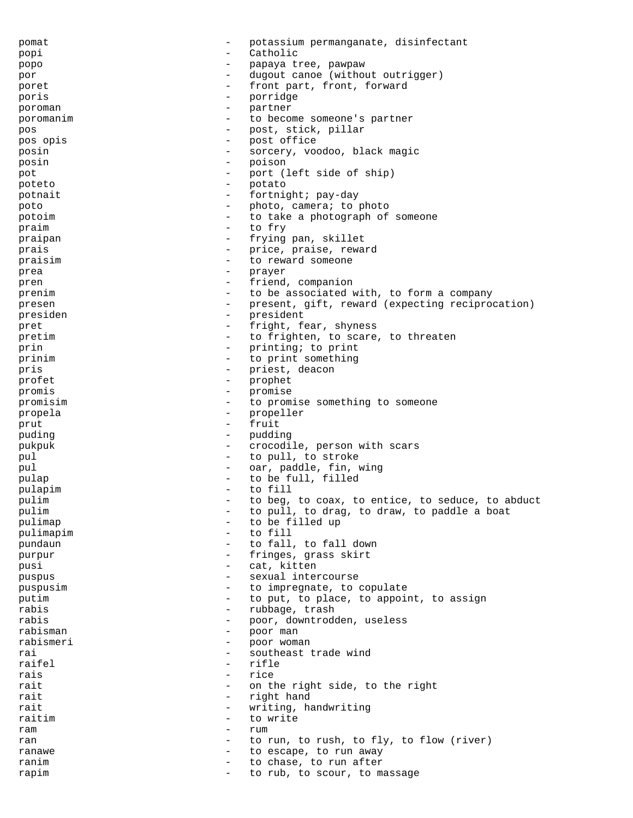pomat - potassium permanganate, disinfectant popi - Catholic popo - papaya tree, pawpaw por - dugout canoe (without outrigger) poret  $-$  front part, front, forward poris - porridge poroman - partner<br>poromanim - to become poromanim - to become someone's partner pos - post, stick, pillar pos opis - post office posin - sorcery, voodoo, black magic posin - poison pot  $-$  port (left side of ship) poteto - potato potnait  $-$  fortnight; pay-day poto  $\qquad \qquad -$  photo, camera; to photo potoim - to take a photograph of someone praim  $\overline{r}$  - to fry  $\overline{r}$  - to fry  $\overline{r}$ praipan - frying pan, skillet<br>prais - price praise rewa prais  $-$  price, praise, reward praisim  $\overline{a}$  - to reward someone prea - prayer pren  $-$  friend, companion prenim - to be associated with, to form a company presen - present, gift, reward (expecting reciprocation) presiden - president pret - fright, fear, shyness pretim  $-$  to frighten, to scare, to threaten prin  $-$  printing; to print prinim  $\begin{array}{cccc} - & + & + \\ - & - & - \end{array}$  to print something<br>pris  $\begin{array}{cccc} - & + & + \end{array}$  deacon - priest, deacon<br>- prophet profet - prophet - prophet - prophet - prophet - prophet - prophet - prophet - prophet - prophet - prophet - prophet - prophet - prophet - prophet - prophet - prophet - prophet - prophet - prophet - prophet - prophet - pro promis - promise <br>promisim - to promise to promise something to someone propela - propeller prut - fruit puding  $-$  pudding pukpuk - crocodile, person with scars pul  $-$  to pull, to stroke pul  $-$  oar, paddle, fin, wing pulap  $-$  to be full, filled pulapim - to fill pulim  $\begin{array}{ccccccccc}\n & - & \text{to beg, to coax, to entire, to seduce, to abduct}\n\end{array}$ pulim  $-$  to pull, to drag, to draw, to paddle a boat puliman pulimap  $-$  to be filled up<br>pulimapim  $-$  to fill pulimapim - to fill the fillowing punchang the fille of the fille of the fillowing the fille of the fille of the fille of the fille of the fille of the fille of the fille of the fille of the fille of the fille of the fille pundaun  $-$  to fall, to fall down purpur  $-$  fringes, grass skirt pusi - cat, kitten<br>pushus - cat, kitten<br>- sexual inter puspus - sexual intercourse puspusim - to impregnate, to copulate putim  $-$  to put, to place, to appoint, to assign rabis  $-$  rubbage, trash rabis - poor, downtrodden, useless rabisman - poor man rabismeri - poor woman<br>rai - southeast 1 rai - southeast trade wind raifel - rifle<br>rais - rice<br>- rice rais - rice rait  $-$  on the right side, to the right rait - right hand<br>rait - right hand rait  $-$  writing, handwriting raitim  $\overline{z}$  - to write ram - rum ran  $-$  to run, to rush, to fly, to flow (river) ranawe  $\qquad \qquad -$  to escape, to run away ranim  $\qquad \qquad -$  to chase, to run after rapim  $-$  to rub, to scour, to massage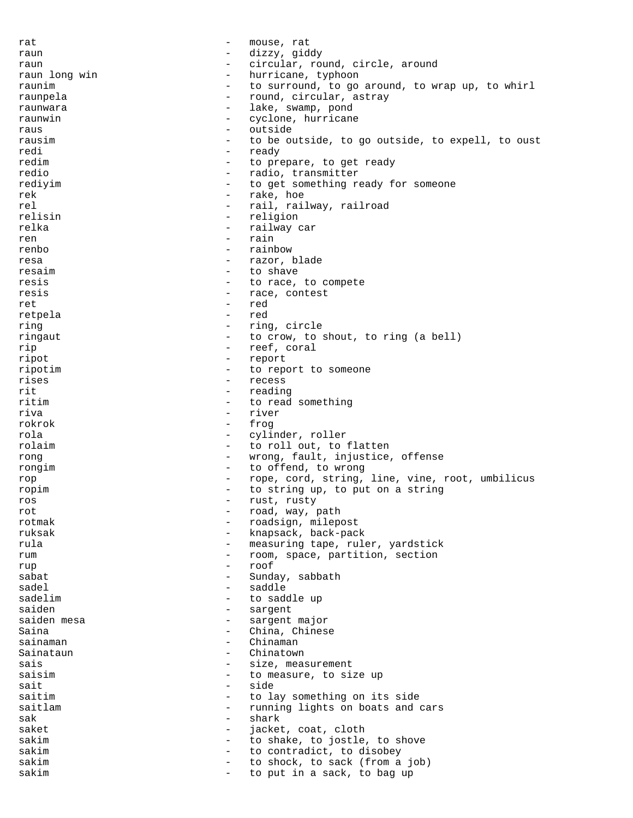rat  $-$  mouse, rat raun - dizzy, giddy raun  $\begin{array}{ccc} \text{1} & - & \text{2} & \text{2} \\ \text{2} & - & \text{3} & \text{2} \\ \text{3} & - & \text{4} & \text{4} \\ \text{4} & - & \text{5} & \text{4} \\ \text{5} & - & \text{5} & \text{4} \\ \text{6} & - & \text{6} & \text{4} \\ \text{7} & - & \text{7} & \text{5} \\ \text{8} & - & \text{7} & \text{6} \\ \text{9} & - & \text{8} & \text{7} \\ \text{10} & - & \text{9} & \text{8} \\ \text{11} & -$ - hurricane, typhoon raunim  $-$  to surround, to go around, to wrap up, to whirl raunpela - round, circular, astray<br>raunwara - round, circular, astray raunwara - lake, swamp, pond<br>raunwin raunwin - cyclone, hurricane<br>raus - cutside raus - outside<br>rausim - to be outside rausim  $-$  to be outside, to go outside, to expell, to oust<br>redi redi - ready<br>redim - ready<br>- to pro redim  $\begin{array}{ccc}\n\text{redim} & - & \text{to prepare, to get ready} \\
\text{redio} & - & \text{radio} & \text{transmitter}\n\end{array}$ redio  $-$  radio, transmitter rediyim  $-$  to get something ready for someone rek  $-$  rake, hoe rel - rail, railway, railroad<br>
relisin - religion<br>
- religion relisin - religion relka - railway car ren - rain<br>renho - rain renbo - rainbow resa  $-$  razor, blade resaim  $-$  to shave resis  $-$  to race, to compete resis  $-$  race, contest ret et al. et al. et al. et al. et al. et al. et al. et al. et al. et al. et al. et al. et al. et al. et al. e retpela - red ring  $-$  ring, circle ringaut  $-$  to crow, to shout, to ring (a bell) rip - reef, coral ripot - report ripotim  $\qquad \qquad -$  to report to someone<br>rises  $\qquad \qquad -$  recess rises - recess<br>rit - reading rit - reading<br>ritim - to read - to read something riva - river rokrok - frog rola - cylinder, roller rolaim  $\qquad \qquad$  - to roll out, to flatten rong  $-$  wrong, fault, injustice, offense<br>  $-$  to offend, to wrong rongim - to offend, to wrong rop - rope, cord, string, line, vine, root, umbilicus ropim  $\qquad \qquad -$  to string up, to put on a string ros - rust, rusty<br>rot - road way i rot  $-$  road, way, path<br>rotmak  $-$  roadsign milen rotmak - roadsign, milepost<br>
ruksak - knapsack hack-pack ruksak - knapsack, back-pack<br>rula - measuring tape rul rula - measuring tape, ruler, yardstick<br>
- room space partition section rum  $\begin{array}{ccc}\n & - & \text{room, space, partition, section} \\
 & - & \text{conf}\n\end{array}$ rup - roof sabat - Sunday, sabbath sadel - saddle sadelim - to saddle up saiden - sargent saiden mesa  $\overline{\phantom{0}}$  - sargent major Saina - China, Chinese sainaman - Chinaman - Chinaman Sainataun - Chinatown<br>sais - Size meas sais  $-$  size, measurement<br>saisim  $-$  to measure, to si saisim  $\overline{\phantom{a}}$  - to measure, to size up<br>sait  $\overline{\phantom{a}}$  - side sait - side<br>saitim - to la saitim - to lay something on its side<br>saitlam - to lay something on its side<br>- running lights on boats and running lights on boats and cars sak - shark saket - jacket, coat, cloth sakim  $-$  to shake, to jostle, to shove sakim  $-$  to contradict, to disobey sakim  $-$  to shock, to sack (from a job) sakim  $-$  to put in a sack, to bag up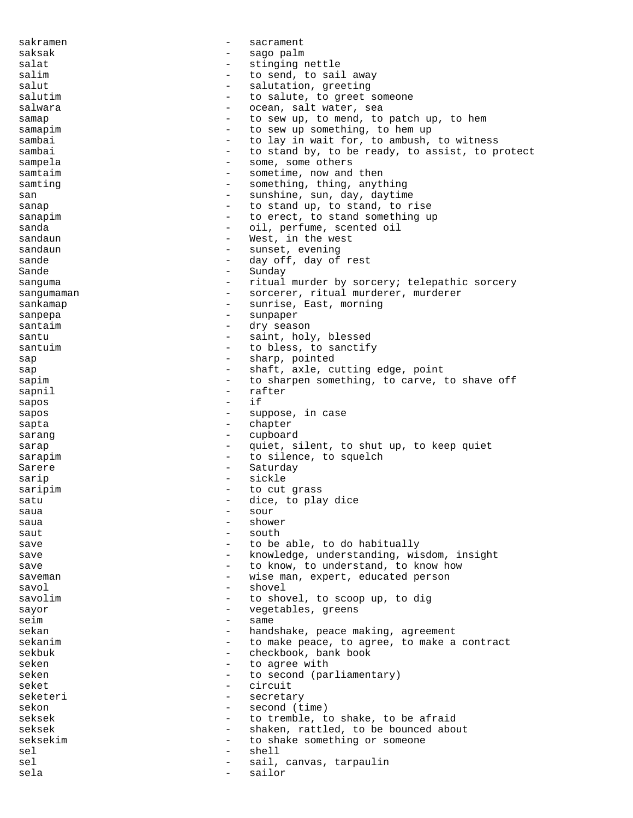sakramen en med andet sakrament saksak - sago palm salat - stinging nettle salim  $-$  to send, to sail away salut - salutation, greeting<br>salutim - to salute, to greet - to salute, to greet someone salwara - ocean, salt water, sea samap  $-$  to sew up, to mend, to patch up, to hem samapim  $-$  to sew up something, to hem up sambai  $-$  to lay in wait for, to ambush, to witness sambai  $-$  to stand by, to be ready, to assist, to protect sampela - some, some others samtaim  $-$  sometime, now and then samting  $-$  something, thing, anything san - sunshine, sun, day, daytime<br>annual - to stand up, to stand to r sanap  $\sim$  - to stand up, to stand, to rise sanapim  $-$  to erect, to stand something up sanda - oil, perfume, scented oil<br>sandaun - West in the west sandaun - West, in the west sandaun - sunset, evening sande - day off, day of rest<br>Sande - Sunday - Sunday sanguma - ritual murder by sorcery; telepathic sorcery sangumaman - sorcerer, ritual murderer, murderer sankamap  $\qquad \qquad \qquad -$  sunrise, East, morning sanpepa - sunpaper santaim and a contract the season of the season of the season of the season of the season of the season of the season of the season of the season of the season of the season of the season of the season of the season of the santu - saint, holy, blessed santuim  $\qquad \qquad -$  to bless, to sanctify sap - sharp, pointed<br>sap - shaft axle Cl sap - shaft, axle, cutting edge, point<br>sapim - to sharpen something to carve sapim  $-$  to sharpen something, to carve, to shave off<br>sappil sapnil - rafter<br>sapos - if sapos sapos - suppose, in case sapta  $-$  chapter sarang  $-$  cupboard sarap  $\qquad \qquad -$  quiet, silent, to shut up, to keep quiet sarapim  $-$  to silence, to squelch Sarere - Saturday sarip - sickle saripim - to cut grass<br>satu - dice to plai satu  $\qquad \qquad -$  dice, to play dice  $s$ aua  $-$  sour $-$  sour $-$  sour $-$  sour $$ saua - shower  $s$ aut  $-$  south save save to be able, to do habitually save sawe the same of the control of the same of the same of the same of the same of the same of the same of t save save to know, to understand, to know how saveman - wise man, expert, educated person savol - shovel savolim - to shovel, to scoop up, to dig sayor  $-$  vegetables, greens seim - same sekan - handshake, peace making, agreement sekanim and the make peace, to agree, to make a contract sekbuk - checkbook, bank book seken - to agree with seken - to second (parliamentary)<br>seket - circuit seket - circuit - secretary sekon - second (time) seksek - to tremble, to shake, to be afraid seksek - shaken, rattled, to be bounced about<br>seksekim - to shake something or someone seksekim  $-$  to shake something or someone sel - shell sel  $\qquad \qquad$  - sail, canvas, tarpaulin sela - sailor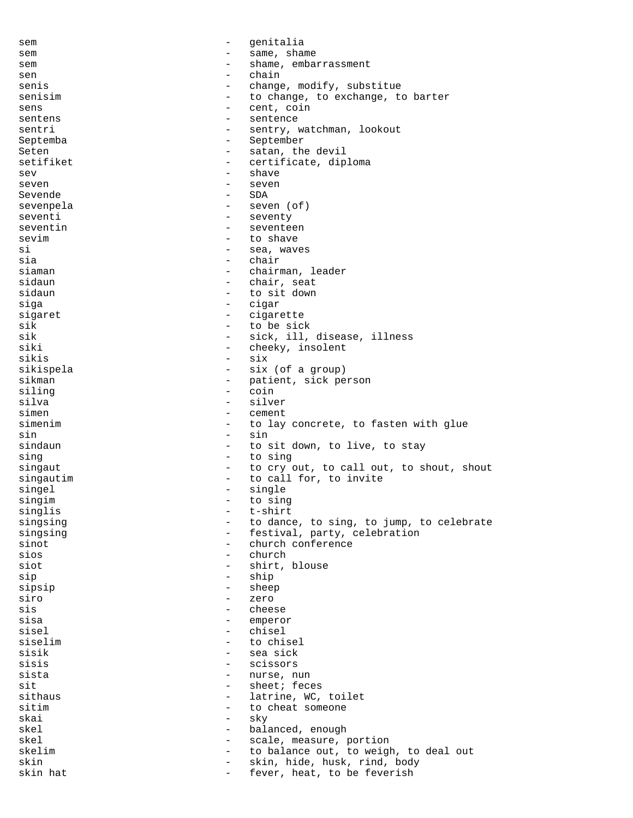sem entralia sem  $-$  same, shame sem embarrassment - shame, embarrassment sen - chain senis  $\qquad \qquad -$  change, modify, substitue senisim  $\begin{array}{cccc} - & \text{to change, to exchange, to barrier} \\ - & \text{cent. coin} \end{array}$ sens - cent, coin<br>
sentens - centence sentens - sentence<br>sentri - sentru - sentru i sentri - sentry, watchman, lookout Septemba - September Seten - satan, the devil setifiket - certificate, diploma<br>seven sev - shave seven - seven Sevende - SDA sevenpela - seven (of) seventi - seventy seventin - seventeen<br>sevim - to shave sevim - to shave - to shave - to shave - to shave - to shave - to shave - to shave - to shave - to shave - to shave - to shave - to shave - to shave - to shave - to shave - to shave - to shave - to shave - to shave - to sh si - sea, waves sia - chair - chair<br>siaman - chair - chair - chairman, leader sidaun - chair, seat sidaun - to sit down siga - cigar<br>sigaret - cigaret - cigare sigaret - cigarette sik - to be sick sik - sick, ill, disease, illness siki - cheeky, insolent sikis - six sikispela - six (of a group)<br>sikman - patient sick pe sikman - patient, sick person<br>siling siling - coin silva - silver cement simenim  $-$  to lay concrete, to fasten with glue sin - sin sindaun - to sit down, to live, to stay sing  $-$  to sing singaut  $-$  to cry out, to call out, to shout, shout singautim  $\qquad \qquad -$  to call for, to invite singel - single singim - to sing<br>singlis - thirt - thirt singlis - t-shirt<br>singsing - to dance singsing  $-$  to dance, to sing, to jump, to celebrate singsing  $-$  festival, party, celebration<br>sinot  $-$  church conference - church conference<br>- church sios - church siot - shirt, blouse sip - ship sipsip - sheep siro - zero sis - cheese sisa - emperor - emperor<br>sisel - chieal sisel - chisel<br>siselim - to chi siselim - to chisel<br>sisik - sea sick<br>- sea sick sisik - sea sick<br>sisis - scissors - scissors sisis - scissors - nurse, nun<br>- sheet: fec sit - sheet; feces sithaus - latrine, WC, toilet<br>sitim - to cheat someone - to cheat someone<br>- sky skai - sky skel - balanced, enough - scale, measure, portion<br>- to balance out, to weigh skelim - to balance out, to weigh, to deal out<br>skin - skin, hide, husk, rind, body skin - skin, hide, husk, rind, body<br>skin hat - fever, heat, to be feverish - fever, heat, to be feverish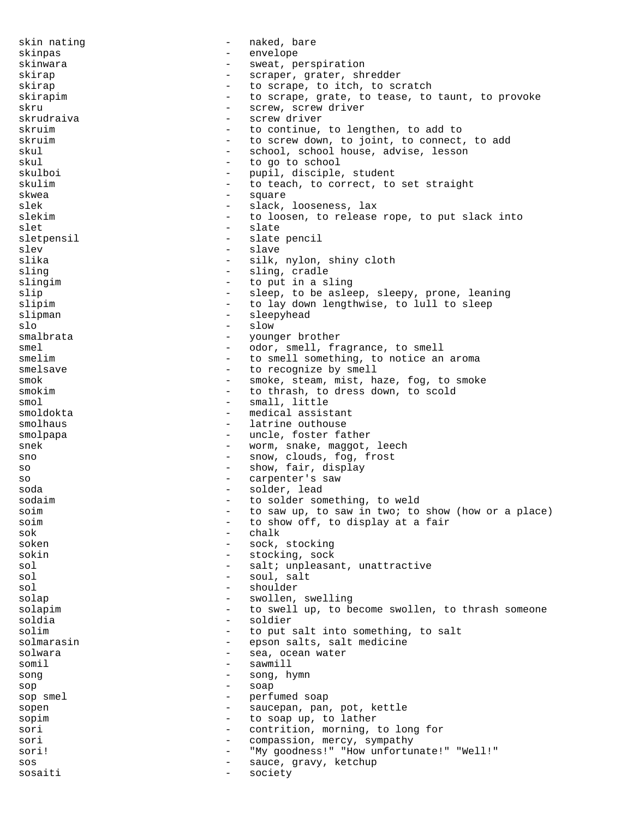skin nating extending the state of the naked, bare skinpas - envelope skinwara - sweat, perspiration skirap - scraper, grater, shredder skirap  $-$  to scrape, to itch, to scratch skirapim external contract to scrape, grate, to tease, to taunt, to provoke skru - screw, screw driver<br>skrudraiva - screw driver - screw driver skruim  $-$  to continue, to lengthen, to add to skruim  $-$  to screw down, to ioint, to connect - to screw down, to joint, to connect, to add skul - school, school house, advise, lesson skul<br>skulboi - to go to school<br>skulboi - pupil.disciple - pupil, disciple, student skulim  $-$  to teach, to correct, to set straight skwea - square - square slek - slack, looseness, lax slekim  $-$  to loosen, to release rope, to put slack into slet - slate<br>sletnensil - slate<br>- slate sletpensil - slate pencil slev - slave slika - silk, nylon, shiny cloth<br>sling - sling, cradle - sling, cradle slingim - to put in a sling slip - sleep, to be asleep, sleepy, prone, leaning<br>slipim - to lay down lengthwise, to lull to sleep - to lay down lengthwise, to lull to sleep slipman - sleepyhead slo - slow smalbrata  $-$  younger brother smel - odor, smell, fragrance, to smell smelim  $-$  to smell something, to notice an aroma smelsave  $-$  to recognize by smell smok - smoke, steam, mist, haze, fog, to smoke smokim  $-$  to thrash, to dress down, to scold smol - small, little smoldokta - medical assistant smolhaus  $\qquad \qquad -$  latrine outhouse smolpapa - uncle, foster father snek - worm, snake, maggot, leech sno  $-$  snow, clouds, fog, frost so  $-$  show, fair, display so - carpenter's saw soda - solder, lead sodaim  $\qquad \qquad -$  to solder something, to weld soim  $\begin{array}{ccccccccc}\n\text{soim} & & & - & \text{to saw up, to saw in two; to show (how or a place)} \\
\text{soim} & & & \text{to show off to simplify to display at a fair}\n\end{array}$ soim  $\begin{array}{cccc} - & \text{to show off, to display at a fair} \\ - & \text{right} \end{array}$  $\begin{tabular}{ccc} & \multicolumn{2}{c}{\textbf{Sok}} & \multicolumn{2}{c}{\textbf{Sok}}\\ \end{tabular}$ soken - sock, stocking sokin - stocking, sock sol - salt; unpleasant, unattractive sol  $-$  soul, salt sol - shoulder<br>solar - swollen solap - swollen, swelling solapim  $-$  to swell up, to become swollen, to thrash someone soldia - soldier solim  $-$  to put salt into something, to salt solmarasin - epson salts, salt medicine<br>solwara - sea, ocean water - sea, ocean water somil - sawmill song - song, hymn sop - soap sop smel - perfumed soap sopen - saucepan, pan, pot, kettle sopim  $-$  to soap up, to lather sori  $-$  contrition, morning, to long for sori - compassion, mercy, sympathy sori!  $-$  "My goodness!" "How unfortunate!" "Well!" sos - sauce, gravy, ketchup sosaiti - society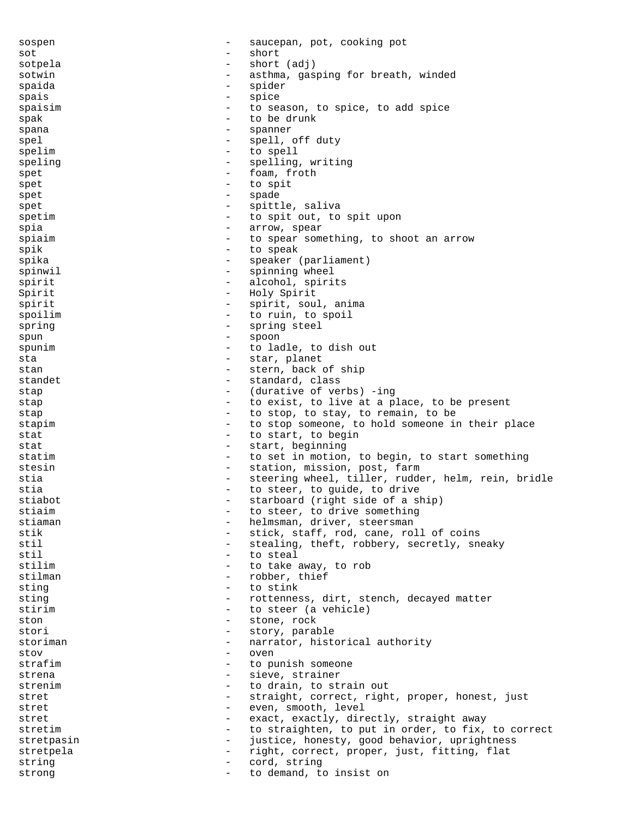sospen - saucepan, pot, cooking pot sot - short sotpela - short (adj) sotwin  $-$  asthma, gasping for breath, winded spaida - spider - spice<br>- to sep spaisim<br>
- to season, to spice, to add spice<br>
- to be drunk spak - to be drunk<br>spana spana - spanner<br>spal - spanner<br>- spall - spall spel  $-$  spell, off duty spelim - to spell speling  $-$  spelling, writing<br>spet  $-$  foam, froth spet - foam, froth spet - to spit spet - spade - spade spet - spittle, saliva spetim  $\qquad \qquad -$  to spit out, to spit upon spia - arrow, spear<br>spiaim - arrow, spear some spiaim  $\begin{array}{cccc}\n\text{spain} \\
\text{spain} \\
\text{spain} \\
\end{array}$ spik - to speak<br>spike - to speak spika - speaker (parliament) spinwil - spinning wheel spirit - alcohol, spirits Spirit  $\qquad \qquad -$  Holy Spirit spirit  $-$  spirit, soul, anima spoilim  $-$  to ruin, to spoil spring  $-$  spring steel spun - spoon spunim  $\qquad \qquad -$  to ladle, to dish out sta - star, planet stan - stern, back of ship<br>standet - standard class standet - standard, class<br>stan - standard, class stap  $\qquad \qquad -$  (durative of verbs) -ing stap  $-$  to exist, to live at a place, to be present stap  $-$  to stop, to stay, to remain, to be stapim  $-$  to stop someone, to hold someone in their place stat  $-$  to start, to begin stat  $-$  start, beginning statim  $-$  to set in motion, to begin, to start something stesin - station, mission, post, farm stia - steering wheel, tiller, rudder, helm, rein, bridle stia  $-$  to steer, to guide, to drive stiabot - starboard (right side of a ship) stiaim  $-$  to steer, to drive something stiaman - helmsman, driver, steersman stik - stick, staff, rod, cane, roll of coins<br>stil - stealing theft robbery secretly sp - stealing, theft, robbery, secretly, sneaky<br>- to steal stil - to steal stilim  $-$  to take away, to rob stilman - robber, thief sting  $-$  to stink sting - rottenness, dirt, stench, decayed matter stirim  $\qquad \qquad -$  to steer (a vehicle) ston - stone, rock stori - story, parable storiman - narrator, historical authority stov - oven strafim - to punish someone<br>strana - sieve strainer strena - sieve, strainer<br>strenim - to drain to str strenim  $\qquad \qquad -$  to drain, to strain out stret - straight, correct, right, proper, honest, just<br>stret - even smooth level stret - even, smooth, level stret - exact, exactly, directly, straight away stretim  $-$  to straighten, to put in order, to fix, to correct stretpasin - justice, honesty, good behavior, uprightness stretpela - right, correct, proper, just, fitting, flat string  $-$  cord, string strong  $\qquad \qquad$  - to demand, to insist on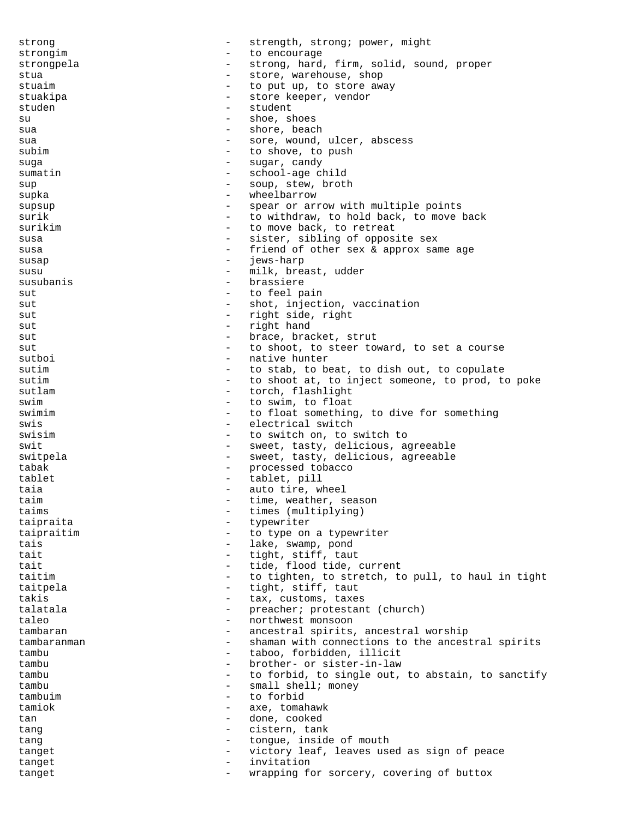strong  $-$  strength, strong; power, might strongim  $\begin{array}{ccc} - & + & + \end{array}$  to encourage strong and strongpela - strong, hard, firm, solid, sound, proper stua  $\sim$  store, warehouse, shop stuaim  $-$  to put up, to store away stuakipa - store keeper, vendor studen - student - student su - shoe, shoes sua - shore, beach sua  $-$  sore, wound, ulcer, abscess subim  $-$  to shove, to push suga - sugar, candy sumatin - school-age child sup  $-$  soup, stew, broth supka - wheelbarrow supsup - spear or arrow with multiple points surik  $-$  to withdraw, to hold back, to move back surikim  $-$  to move back, to retreat susa - sister, sibling of opposite sex<br>susa - friend of other sex & approx say susa - friend of other sex & approx same age<br>susan - iews-barn susap - jews-harp susu - milk, breast, udder susubanis - brassiere sut - to feel pain sut  $-$  shot, injection, vaccination sut  $-$  right side, right sut  $-$  right hand sut  $-$  brace, bracket, strut sut submanight to shoot, to steer toward, to set a course sutboi - native hunter sutim  $-$  to stab, to beat, to dish out, to copulate sutim  $-$  to shoot at, to inject someone, to prod, to poke sutlam  $\overline{\phantom{a}}$  - torch, flashlight<br>swim to float swim  $-$  to swim, to float swimim  $\qquad -$  to float something, to dive for something<br>swis swis  $-$  electrical switch swisim  $-$  to switch on, to switch to swit  $-$  sweet, tasty, delicious, agreeable switpela - sweet, tasty, delicious, agreeable tabak  $-$  processed tobacco tablet - tablet, pill taia  $-$  auto tire, wheel taim  $\begin{array}{ccc}\n\tan \text{ times} & \text{...} \\
\text{...} & \text{...} \\
\text{...} & \text{...} \\
\text{...} & \text{...} \\
\text{...} & \text{...} \\
\end{array}$ taims - times (multiplying)<br>tainvaita taipraita - typewriter<br>
tainraitim - to type on taipraitim  $\qquad \qquad -$  to type on a typewriter tais  $\begin{array}{ccc} - & 1 \text{ake, swamp, pond} \\ - & + \text{icht} \end{array}$ tait  $\begin{array}{ccc} \text{tail} & - & \text{tight, stiff, taut} \\ \text{tail} & - & \text{tide, flood tide} \end{array}$ tait  $\begin{array}{ccc}\n\text{tail} & - & \text{tide, flood tide, current} \\
\text{to tichten, to stretch, to }\n\end{array}$ taitim  $-$  to tighten, to stretch, to pull, to haul in tight taitpela  $-$  tight, stiff, taut takis - tax, customs, taxes<br>talatala - tax, customs, taxes - preacher; protestant (church) taleo  $\qquad \qquad -$  northwest monsoon tambaran - ancestral spirits, ancestral worship tambaranman - shaman with connections to the ancestral spirits tambu - taboo, forbidden, illicit tambu - brother- or sister-in-law<br>tambu - to forbid to single out tambu  $-$  to forbid, to single out, to abstain, to sanctify<br>tambu  $-$  small shell: money tambu - small shell; money<br>tambuim - to forbid tambuim - to forbid<br>tamiok - ave tomal tamiok - axe, tomahawk tan  $-$  done, cooked tang  $-$  cistern, tank tang  $\qquad \qquad -$  tongue, inside of mouth tanget  $-$  victory leaf, leaves used as sign of peace tanget  $-$  invitation tanget  $-$  wrapping for sorcery, covering of buttox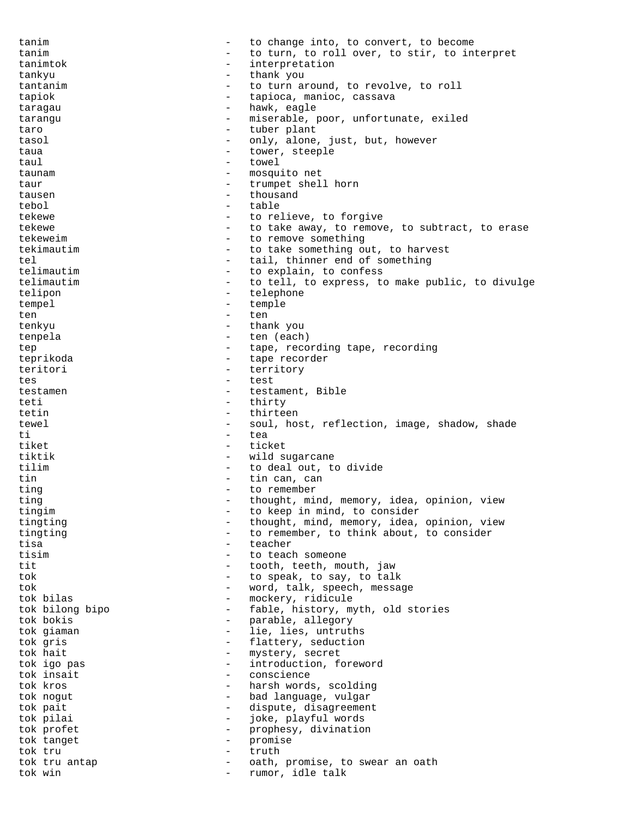tanim  $\qquad \qquad -$  to change into, to convert, to become tanim  $\qquad \qquad -$  to turn, to roll over, to stir, to interpret tanimtok - interpretation tankyu - thank you tantanim  $-$  to turn around, to revolve, to roll tapiok - tapioca, manioc, cassava taragau  $-$  hawk, eagle tarangu - miserable, poor, unfortunate, exiled<br>
taro - tuber plant taro  $-$  tuber plant tasol - only, alone, just, but, however taua  $-$  tower, steeple taul extended towel towel taunam - mosquito net taur - trumpet shell horn tausen en andere en andere en andere en andere en andere en andere en andere en andere en andere en andere en tebol - table tekewe  $\qquad \qquad -$  to relieve, to forgive tekewe  $-$  to take away, to remove, to subtract, to erase<br>tekeweim  $-$  to remove something - to remove something tekimautim  $-$  to take something out, to harvest tel  $-$  tail, thinner end of something<br>telimautim  $-$  to explain, to confess - to explain, to confess telimautim  $-$  to tell, to express, to make public, to divulge telipon - telephone tempel - temple ten ten ten tenkyu - thank you<br>tenpela - ten (each tenpela - ten (each) tep  $-$  tape, recording tape, recording teprikoda - tape recorder teritori - territory<br>tes - test tes - test testamen - testament, Bible<br>teti - thirty teti - thirty - thirty tetin - thirteen tewel - soul, host, reflection, image, shadow, shade<br>
- tea ti ea tiket  $-$  ticket tiktik - wild sugarcane<br>tilim - to deal out to tilim - to deal out, to divide tin  $-$  tin can, can ting  $-$  to remember ting  $-$  thought, mind, memory, idea, opinion, view tingim  $-$  to keep in mind, to consider tingting - thought, mind, memory, idea, opinion, view tingting  $-$  to remember, to think about, to consider tisa - teacher tisim  $-$  to teach someone tit  $-$  tooth, teeth, mouth, jaw tok - to speak, to say, to talk tok - word, talk, speech, message tok bilas  $-$  mockery, ridicule tok bilong bipo - fable, history, myth, old stories tok bokis - parable, allegory tok giaman - lie, lies, untruths<br>tok gris - flattery, seduction tok gris  $-$  flattery, seduction<br>tok hait  $-$  mystery, secret tok hait  $-$  mystery, secret<br>tok igo pas  $-$  introduction, f tok igo pas  $-$  introduction, foreword tok insait conscience tok kros <br/> - harsh words, scolding tok nogut  $-$  bad language, vulgar tok pait  $\qquad \qquad -$  dispute, disagreement tok pilai - joke, playful words tok profet  $-$  prophesy, divination tok tanget - promise tok tru  $\begin{array}{ccc} - & + \text{truth} \\ - & \text{path} \end{array}$ tok tru antap  $\begin{array}{ccc}\n-\n\end{array}$  oath, promise, to swear an oath tok win tok win - rumor, idle talk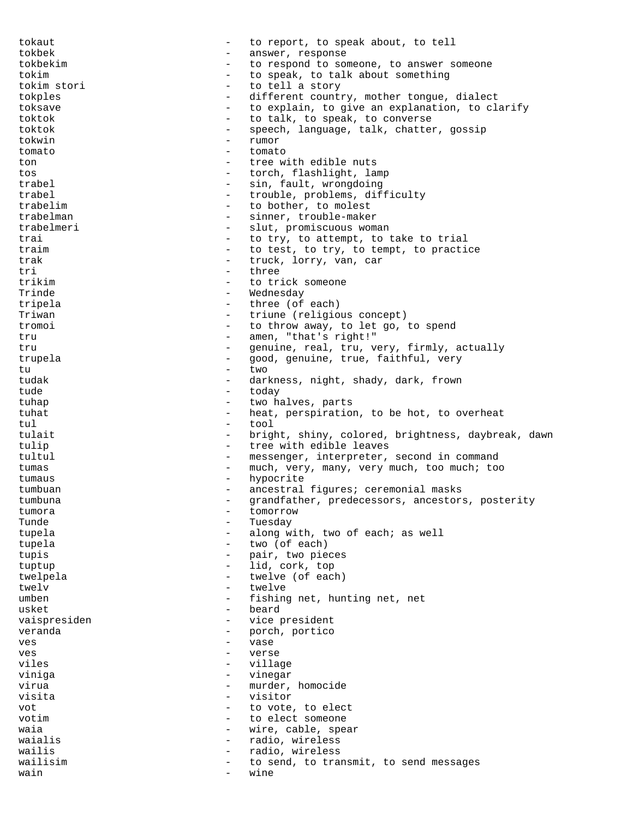tokaut  $-$  to report, to speak about, to tell tokbek - answer, response<br>tokbekim - - - - - - - - - - - to respond to sor - to respond to someone, to answer someone tokim  $-$  to speak, to talk about something tokim stori - to tell a story different country, mother tongue, dialect toksave  $\sim$  to explain, to give an explanation, to clarify toktok - to talk, to speak, to converse toktok - speech, language, talk, chatter, gossip<br>tokwin tokwin - rumor tomato - tomato ton - tree with edible nuts tos - torch, flashlight, lamp trabel - sin, fault, wrongdoing<br>trabel - trouble problems dif trabel  $\qquad \qquad \qquad - \qquad \text{trouble, problems, difficulty}$ trabelim  $\begin{array}{ccc} - & + & + \text{to bother, to molest} \\ \text{trabelman} & - & \text{sinner, trouble-made.} \end{array}$ trabelman - sinner, trouble-maker<br>trabelmeri - slut, promiscuous wom slut, promiscuous woman trai  $-$  to try, to attempt, to take to trial traim  $\begin{array}{ccccccccc}\n & - & \text{to test, to try, to temp, to practice} \\
\end{array}$ trak  $\begin{array}{ccc} - & \text{truek, lory, van, car} \\ - & \text{three} \end{array}$ tri - three<br>trikim - to tri trikim  $-$  to trick someone Trinde - Wednesday - three (of each) Triwan - triune (religious concept) tromoi - to throw away, to let go, to spend tru  $-$  amen, "that's right!" tru - genuine, real, tru, very, firmly, actually trupela - good, genuine, true, faithful, very tu - two tudak - darkness, night, shady, dark, frown<br>
- today tude - today<br>tuban - two h tuhap  $-$  two halves, parts tuhat - heat, perspiration, to be hot, to overheat<br>
- tool tul - tool tulait  $-$  bright, shiny, colored, brightness, daybreak, dawn tulip  $\qquad \qquad$  tree with edible leaves tultul - messenger, interpreter, second in command tumas - much, very, many, very much, too much; too tumaus - hypocrite tumbuan - ancestral figures; ceremonial masks tumbuna - grandfather, predecessors, ancestors, posterity tumora - tomorrow - tomorrow<br>Tunde Tunde Tuesday - Tuesday tupela - along with, two of each; as well tupela - two (of each) tupis - pair, two pieces tuptup - lid, cork, top twelpela - twelve (of each) twelv  $-$  twelve umben - fishing net, hunting net, net usket - beard vaispresiden - vice president veranda  $-$  porch, portico ves - vase ves - verse viles - village - village - village - village - village - village - village - village - village - village - village - village - village - village - village - village - village - village - village - village - village - vill viniga - vinegar virua - murder, homocide<br>visita visita - visitor vot  $-$  to vote, to elect votim  $\sim$  - to elect someone waia  $-$  wire, cable, spear waialis  $\qquad \qquad -$  radio, wireless wailis - radio, wireless wailisim  $-$  to send, to transmit, to send messages<br>wain  $-$  wine wain  $-$  wine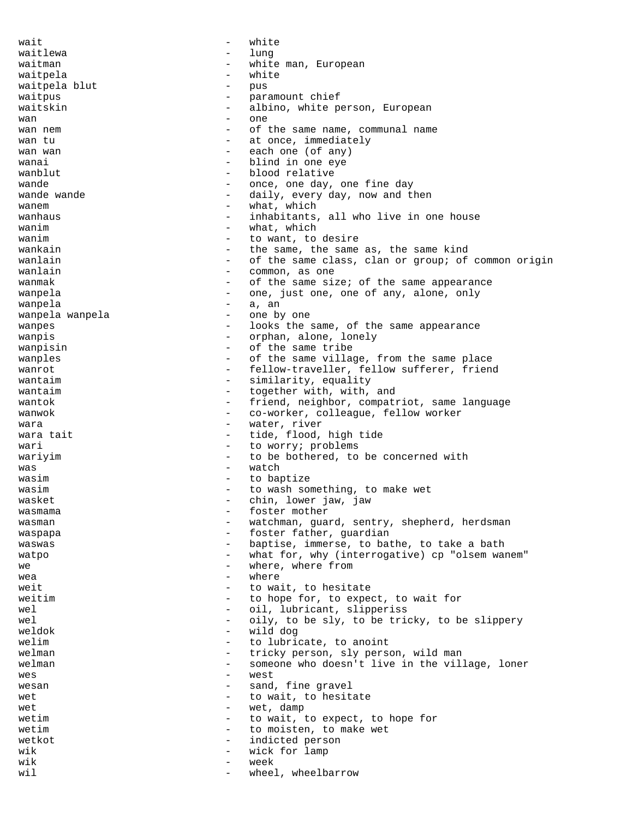wait  $-$  white waitlewa - lung waitman  $-$  white man, European waitpela - white waitpela blut - pus waitpus  $-$  paramount chief waitskin - albino, white person, European wan - one wan nem  $-$  of the same name, communal name wan tu  $\begin{array}{ccc} - & \text{at once, immediately} \\ - & \text{each one (of any)} \end{array}$ - each one (of any) wanai - blind in one eye<br>wanblut - blood relative - blood relative wande  $\qquad \qquad \qquad -$  once, one day, one fine day wande wande  $\qquad \qquad \qquad -$  daily, every day, now and then wanem  $-$  what, which wanhaus  $\qquad \qquad -$  inhabitants, all who live in one house wanim  $-$  what, which  $v$  wanim  $v$  and  $v$  and  $v$  and  $v$  and  $v$  and  $v$  and  $v$  and  $v$  and  $v$  and  $v$  and  $v$  and  $v$  and  $v$  and  $v$  and  $v$  and  $v$  and  $v$  and  $v$  and  $v$  and  $v$  and  $v$  and  $v$  and  $v$  and  $v$  and  $v$  and  $v$  and  $v$ wankain  $\qquad \qquad -$  the same, the same as, the same kind wanlain  $-$  of the same class, clan or group; of common origin wanlain  $\overline{\phantom{a}}$  - common, as one wanmak  $\qquad -$  of the same size; of the same appearance wanpela  $\qquad \qquad \qquad -$  one, just one, one of any, alone, only wanpela  $-$  a, an wanpela wanpela  $-$  one by one wanpes **and a set of the same**, of the same appearance wanpis  $\qquad \qquad -$  orphan, alone, lonely wanpisin  $-$  of the same tribe wanples  $\begin{array}{ccc}\n\text{wamples} \\
\text{wanrot} \\
\text{Sallow-traveller} \\
\text{follow} \\
\end{array}$ wanrot **-** fellow-traveller, fellow sufferer, friend wantaim  $-$  similarity, equality wantaim  $\qquad \qquad -$  together with, with, and wantok  $-$  friend, neighbor, compatriot, same language wanwok  $\qquad \qquad -$  co-worker, colleague, fellow worker wara  $-$  water, river wara tait  $\begin{array}{ccc} - & tide, \text{ flood, high tide} \\ - & toworrv; \text{ problems} \end{array}$ - to worry; problems wariyim  $-$  to be bothered, to be concerned with was - watch wasim  $-$  to baptize wasim  $-$  to wash something, to make wet wasket  $\qquad \qquad -$  chin, lower jaw, jaw wasmama  $-$  foster mother wasman  $-$  watchman, guard, sentry, shepherd, herdsman waspapa  $-$  foster father, guardian waswas extending the baptise, immerse, to bathe, to take a bath watpo  $-$  what for, why (interrogative) cp "olsem wanem"<br>where where from we  $-$  where, where from  $\frac{1}{2}$  where  $\frac{1}{2}$  where  $\frac{1}{2}$  $wea$   $-$  where weit  $-$  to wait, to hesitate weitim  $-$  to hope for, to expect, to wait for wel  $-$  oil, lubricant, slipperiss wel  $-$  oily, to be sly, to be tricky, to be slippery<br>weldok  $-$  wild dog - wild dog welim  $\begin{array}{ccc}\n\hline\n\text{welim} & - & \text{to lubricate, to anoint} \\
\text{walman} & - & \text{tricky person, sky near} \\
\hline\n\end{array}$ welman  $\begin{array}{ccc}\n\text{welman} & - & \text{tricky person, sly person, wild man} \\
\text{welman} & - & \text{smenne who doesn't live in the will}\n\end{array}$ welman - someone who doesn't live in the village, loner<br> wes  $-$  west wesan - sand, fine gravel<br>wething the wait to besit wet  $-$  to wait, to hesitate wet extra - wet, damp wetim  $-$  to wait, to expect, to hope for wetim  $\qquad \qquad -$  to moisten, to make wet wetkot  $-$  indicted person wik  $-$  wick for lamp wik  $-$  week wil  $-$  wheel, wheelbarrow